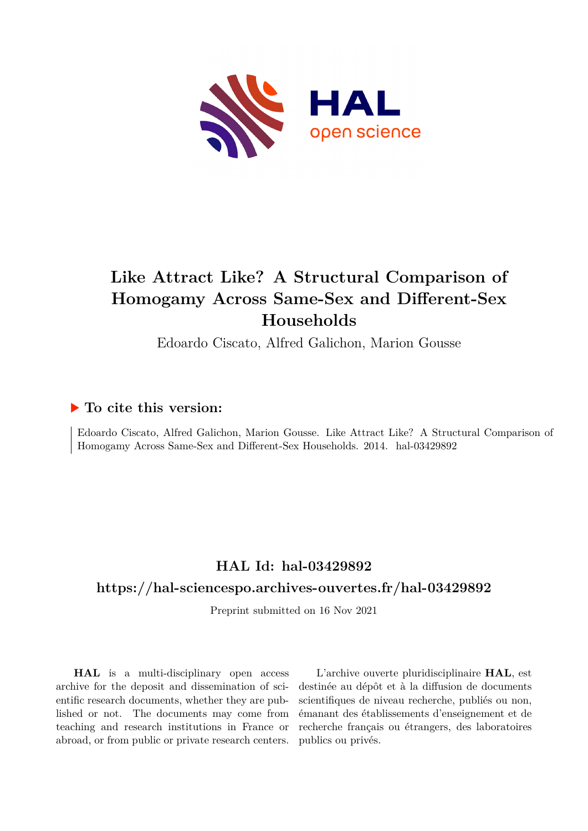

# **Like Attract Like? A Structural Comparison of Homogamy Across Same-Sex and Different-Sex Households**

Edoardo Ciscato, Alfred Galichon, Marion Gousse

# **To cite this version:**

Edoardo Ciscato, Alfred Galichon, Marion Gousse. Like Attract Like? A Structural Comparison of Homogamy Across Same-Sex and Different-Sex Households. 2014. hal-03429892

# **HAL Id: hal-03429892**

# **<https://hal-sciencespo.archives-ouvertes.fr/hal-03429892>**

Preprint submitted on 16 Nov 2021

**HAL** is a multi-disciplinary open access archive for the deposit and dissemination of scientific research documents, whether they are published or not. The documents may come from teaching and research institutions in France or abroad, or from public or private research centers.

L'archive ouverte pluridisciplinaire **HAL**, est destinée au dépôt et à la diffusion de documents scientifiques de niveau recherche, publiés ou non, émanant des établissements d'enseignement et de recherche français ou étrangers, des laboratoires publics ou privés.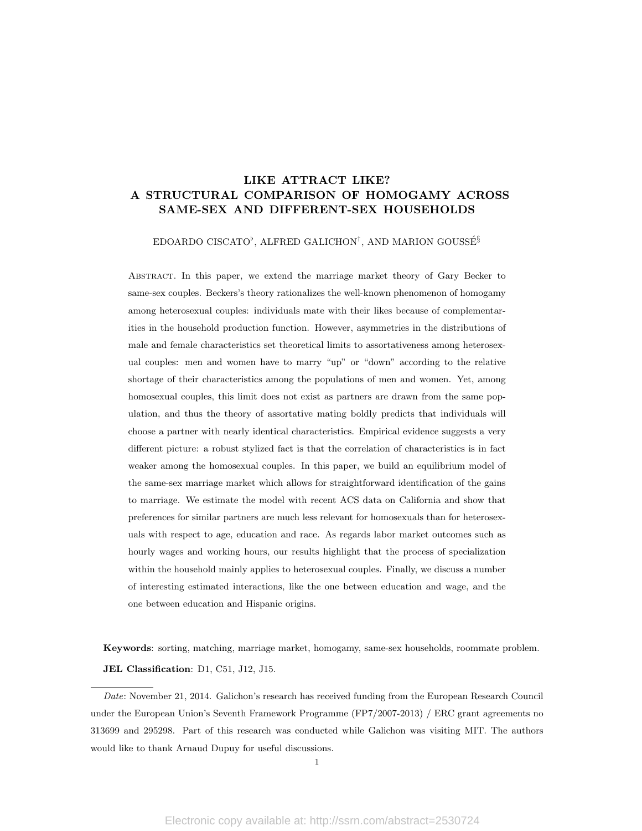# LIKE ATTRACT LIKE? A STRUCTURAL COMPARISON OF HOMOGAMY ACROSS SAME-SEX AND DIFFERENT-SEX HOUSEHOLDS

### EDOARDO CISCATO<sup>b</sup>, ALFRED GALICHON<sup>†</sup>, AND MARION GOUSSÉ<sup>§</sup>

Abstract. In this paper, we extend the marriage market theory of Gary Becker to same-sex couples. Beckers's theory rationalizes the well-known phenomenon of homogamy among heterosexual couples: individuals mate with their likes because of complementarities in the household production function. However, asymmetries in the distributions of male and female characteristics set theoretical limits to assortativeness among heterosexual couples: men and women have to marry "up" or "down" according to the relative shortage of their characteristics among the populations of men and women. Yet, among homosexual couples, this limit does not exist as partners are drawn from the same population, and thus the theory of assortative mating boldly predicts that individuals will choose a partner with nearly identical characteristics. Empirical evidence suggests a very different picture: a robust stylized fact is that the correlation of characteristics is in fact weaker among the homosexual couples. In this paper, we build an equilibrium model of the same-sex marriage market which allows for straightforward identification of the gains to marriage. We estimate the model with recent ACS data on California and show that preferences for similar partners are much less relevant for homosexuals than for heterosexuals with respect to age, education and race. As regards labor market outcomes such as hourly wages and working hours, our results highlight that the process of specialization within the household mainly applies to heterosexual couples. Finally, we discuss a number of interesting estimated interactions, like the one between education and wage, and the one between education and Hispanic origins.

Keywords: sorting, matching, marriage market, homogamy, same-sex households, roommate problem. JEL Classification: D1, C51, J12, J15.

Date: November 21, 2014. Galichon's research has received funding from the European Research Council under the European Union's Seventh Framework Programme (FP7/2007-2013) / ERC grant agreements no 313699 and 295298. Part of this research was conducted while Galichon was visiting MIT. The authors would like to thank Arnaud Dupuy for useful discussions.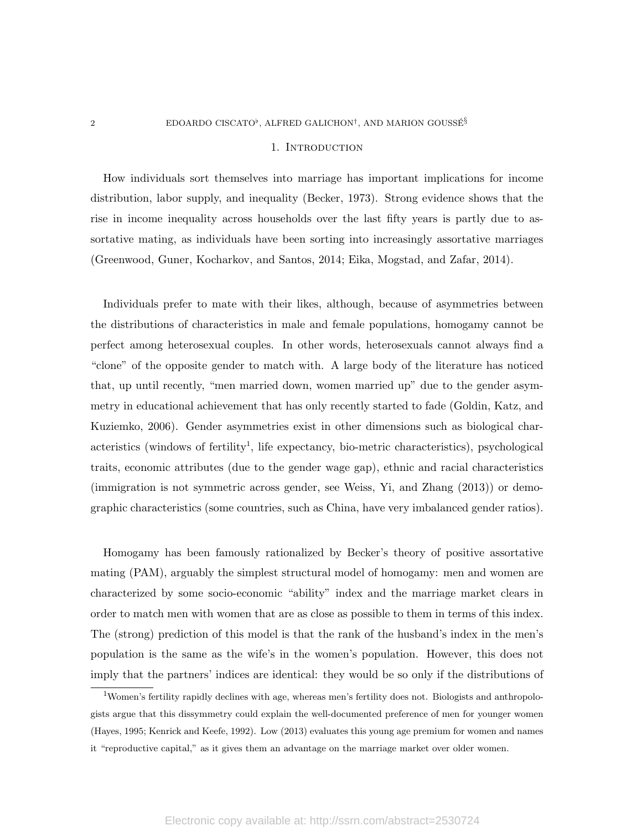#### 2 EDOARDO CISCATO<sup>b</sup>, ALFRED GALICHON<sup>†</sup>, AND MARION GOUSSE<sup>§</sup>

#### 1. Introduction

How individuals sort themselves into marriage has important implications for income distribution, labor supply, and inequality (Becker, 1973). Strong evidence shows that the rise in income inequality across households over the last fifty years is partly due to assortative mating, as individuals have been sorting into increasingly assortative marriages (Greenwood, Guner, Kocharkov, and Santos, 2014; Eika, Mogstad, and Zafar, 2014).

Individuals prefer to mate with their likes, although, because of asymmetries between the distributions of characteristics in male and female populations, homogamy cannot be perfect among heterosexual couples. In other words, heterosexuals cannot always find a "clone" of the opposite gender to match with. A large body of the literature has noticed that, up until recently, "men married down, women married up" due to the gender asymmetry in educational achievement that has only recently started to fade (Goldin, Katz, and Kuziemko, 2006). Gender asymmetries exist in other dimensions such as biological characteristics (windows of fertility<sup>1</sup>, life expectancy, bio-metric characteristics), psychological traits, economic attributes (due to the gender wage gap), ethnic and racial characteristics (immigration is not symmetric across gender, see Weiss, Yi, and Zhang (2013)) or demographic characteristics (some countries, such as China, have very imbalanced gender ratios).

Homogamy has been famously rationalized by Becker's theory of positive assortative mating (PAM), arguably the simplest structural model of homogamy: men and women are characterized by some socio-economic "ability" index and the marriage market clears in order to match men with women that are as close as possible to them in terms of this index. The (strong) prediction of this model is that the rank of the husband's index in the men's population is the same as the wife's in the women's population. However, this does not imply that the partners' indices are identical: they would be so only if the distributions of

<sup>&</sup>lt;sup>1</sup>Women's fertility rapidly declines with age, whereas men's fertility does not. Biologists and anthropologists argue that this dissymmetry could explain the well-documented preference of men for younger women (Hayes, 1995; Kenrick and Keefe, 1992). Low (2013) evaluates this young age premium for women and names it "reproductive capital," as it gives them an advantage on the marriage market over older women.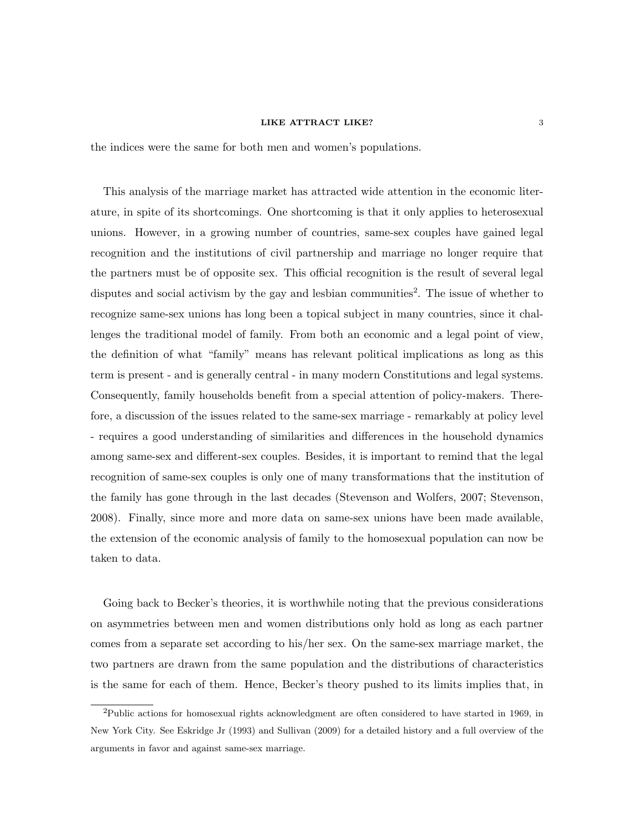the indices were the same for both men and women's populations.

This analysis of the marriage market has attracted wide attention in the economic literature, in spite of its shortcomings. One shortcoming is that it only applies to heterosexual unions. However, in a growing number of countries, same-sex couples have gained legal recognition and the institutions of civil partnership and marriage no longer require that the partners must be of opposite sex. This official recognition is the result of several legal disputes and social activism by the gay and lesbian communities<sup>2</sup>. The issue of whether to recognize same-sex unions has long been a topical subject in many countries, since it challenges the traditional model of family. From both an economic and a legal point of view, the definition of what "family" means has relevant political implications as long as this term is present - and is generally central - in many modern Constitutions and legal systems. Consequently, family households benefit from a special attention of policy-makers. Therefore, a discussion of the issues related to the same-sex marriage - remarkably at policy level - requires a good understanding of similarities and differences in the household dynamics among same-sex and different-sex couples. Besides, it is important to remind that the legal recognition of same-sex couples is only one of many transformations that the institution of the family has gone through in the last decades (Stevenson and Wolfers, 2007; Stevenson, 2008). Finally, since more and more data on same-sex unions have been made available, the extension of the economic analysis of family to the homosexual population can now be taken to data.

Going back to Becker's theories, it is worthwhile noting that the previous considerations on asymmetries between men and women distributions only hold as long as each partner comes from a separate set according to his/her sex. On the same-sex marriage market, the two partners are drawn from the same population and the distributions of characteristics is the same for each of them. Hence, Becker's theory pushed to its limits implies that, in

<sup>2</sup>Public actions for homosexual rights acknowledgment are often considered to have started in 1969, in New York City. See Eskridge Jr (1993) and Sullivan (2009) for a detailed history and a full overview of the arguments in favor and against same-sex marriage.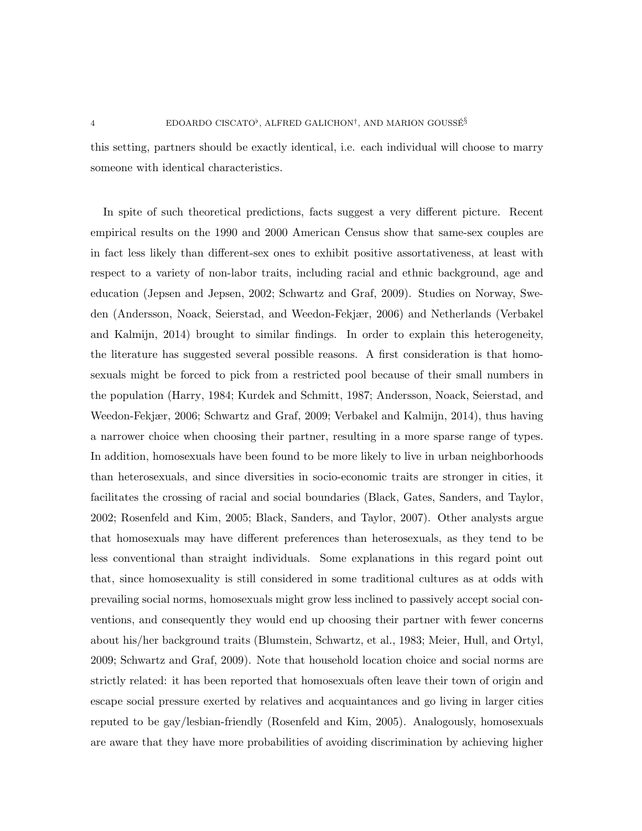this setting, partners should be exactly identical, i.e. each individual will choose to marry someone with identical characteristics.

In spite of such theoretical predictions, facts suggest a very different picture. Recent empirical results on the 1990 and 2000 American Census show that same-sex couples are in fact less likely than different-sex ones to exhibit positive assortativeness, at least with respect to a variety of non-labor traits, including racial and ethnic background, age and education (Jepsen and Jepsen, 2002; Schwartz and Graf, 2009). Studies on Norway, Sweden (Andersson, Noack, Seierstad, and Weedon-Fekjær, 2006) and Netherlands (Verbakel and Kalmijn, 2014) brought to similar findings. In order to explain this heterogeneity, the literature has suggested several possible reasons. A first consideration is that homosexuals might be forced to pick from a restricted pool because of their small numbers in the population (Harry, 1984; Kurdek and Schmitt, 1987; Andersson, Noack, Seierstad, and Weedon-Fekjær, 2006; Schwartz and Graf, 2009; Verbakel and Kalmijn, 2014), thus having a narrower choice when choosing their partner, resulting in a more sparse range of types. In addition, homosexuals have been found to be more likely to live in urban neighborhoods than heterosexuals, and since diversities in socio-economic traits are stronger in cities, it facilitates the crossing of racial and social boundaries (Black, Gates, Sanders, and Taylor, 2002; Rosenfeld and Kim, 2005; Black, Sanders, and Taylor, 2007). Other analysts argue that homosexuals may have different preferences than heterosexuals, as they tend to be less conventional than straight individuals. Some explanations in this regard point out that, since homosexuality is still considered in some traditional cultures as at odds with prevailing social norms, homosexuals might grow less inclined to passively accept social conventions, and consequently they would end up choosing their partner with fewer concerns about his/her background traits (Blumstein, Schwartz, et al., 1983; Meier, Hull, and Ortyl, 2009; Schwartz and Graf, 2009). Note that household location choice and social norms are strictly related: it has been reported that homosexuals often leave their town of origin and escape social pressure exerted by relatives and acquaintances and go living in larger cities reputed to be gay/lesbian-friendly (Rosenfeld and Kim, 2005). Analogously, homosexuals are aware that they have more probabilities of avoiding discrimination by achieving higher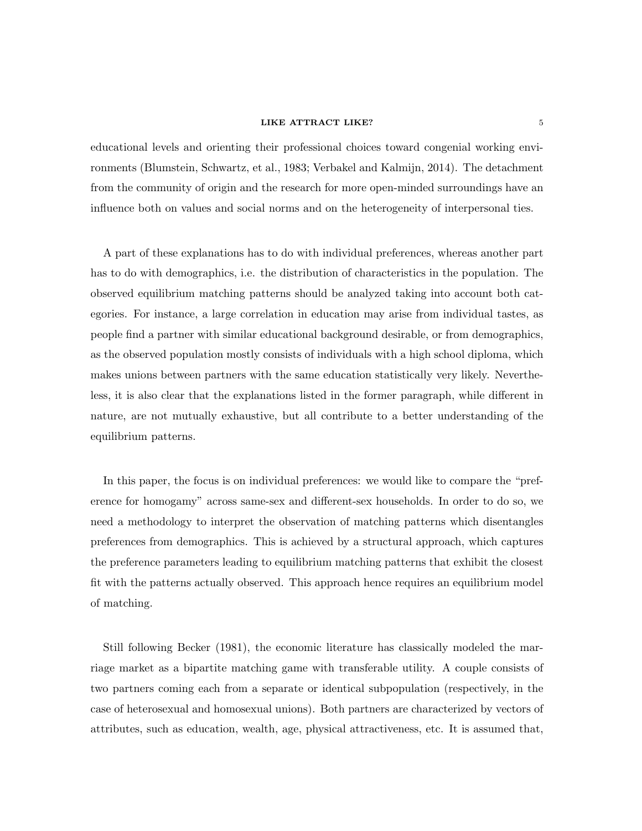educational levels and orienting their professional choices toward congenial working environments (Blumstein, Schwartz, et al., 1983; Verbakel and Kalmijn, 2014). The detachment from the community of origin and the research for more open-minded surroundings have an influence both on values and social norms and on the heterogeneity of interpersonal ties.

A part of these explanations has to do with individual preferences, whereas another part has to do with demographics, i.e. the distribution of characteristics in the population. The observed equilibrium matching patterns should be analyzed taking into account both categories. For instance, a large correlation in education may arise from individual tastes, as people find a partner with similar educational background desirable, or from demographics, as the observed population mostly consists of individuals with a high school diploma, which makes unions between partners with the same education statistically very likely. Nevertheless, it is also clear that the explanations listed in the former paragraph, while different in nature, are not mutually exhaustive, but all contribute to a better understanding of the equilibrium patterns.

In this paper, the focus is on individual preferences: we would like to compare the "preference for homogamy" across same-sex and different-sex households. In order to do so, we need a methodology to interpret the observation of matching patterns which disentangles preferences from demographics. This is achieved by a structural approach, which captures the preference parameters leading to equilibrium matching patterns that exhibit the closest fit with the patterns actually observed. This approach hence requires an equilibrium model of matching.

Still following Becker (1981), the economic literature has classically modeled the marriage market as a bipartite matching game with transferable utility. A couple consists of two partners coming each from a separate or identical subpopulation (respectively, in the case of heterosexual and homosexual unions). Both partners are characterized by vectors of attributes, such as education, wealth, age, physical attractiveness, etc. It is assumed that,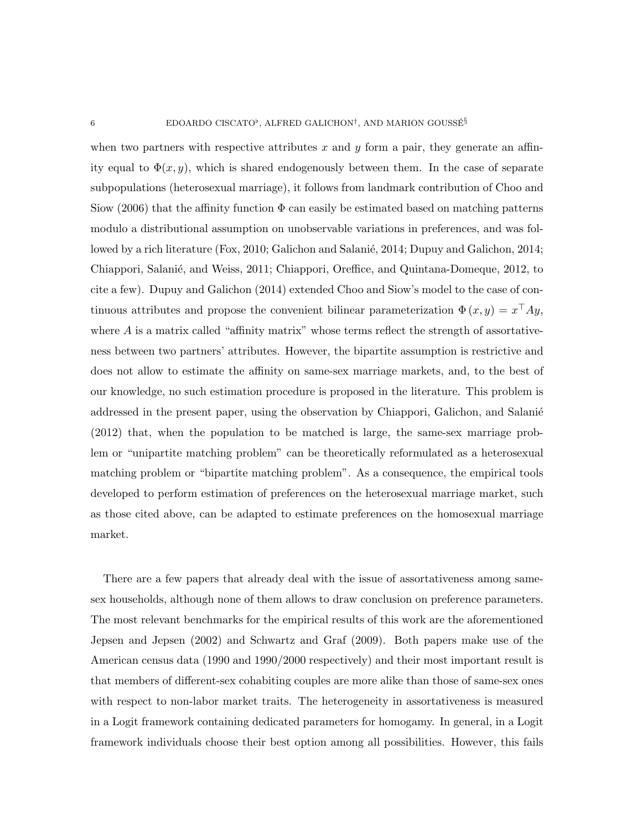when two partners with respective attributes  $x$  and  $y$  form a pair, they generate an affinity equal to  $\Phi(x, y)$ , which is shared endogenously between them. In the case of separate subpopulations (heterosexual marriage), it follows from landmark contribution of Choo and Siow (2006) that the affinity function  $\Phi$  can easily be estimated based on matching patterns modulo a distributional assumption on unobservable variations in preferences, and was followed by a rich literature (Fox, 2010; Galichon and Salanié, 2014; Dupuy and Galichon, 2014; Chiappori, Salanié, and Weiss, 2011; Chiappori, Oreffice, and Quintana-Domeque, 2012, to cite a few). Dupuy and Galichon (2014) extended Choo and Siow's model to the case of continuous attributes and propose the convenient bilinear parameterization  $\Phi(x, y) = x^{\top}Ay$ , where  $A$  is a matrix called "affinity matrix" whose terms reflect the strength of assortativeness between two partners' attributes. However, the bipartite assumption is restrictive and does not allow to estimate the affinity on same-sex marriage markets, and, to the best of our knowledge, no such estimation procedure is proposed in the literature. This problem is addressed in the present paper, using the observation by Chiappori, Galichon, and Salanié (2012) that, when the population to be matched is large, the same-sex marriage problem or "unipartite matching problem" can be theoretically reformulated as a heterosexual matching problem or "bipartite matching problem". As a consequence, the empirical tools developed to perform estimation of preferences on the heterosexual marriage market, such as those cited above, can be adapted to estimate preferences on the homosexual marriage market.

There are a few papers that already deal with the issue of assortativeness among samesex households, although none of them allows to draw conclusion on preference parameters. The most relevant benchmarks for the empirical results of this work are the aforementioned Jepsen and Jepsen (2002) and Schwartz and Graf (2009). Both papers make use of the American census data (1990 and 1990/2000 respectively) and their most important result is that members of different-sex cohabiting couples are more alike than those of same-sex ones with respect to non-labor market traits. The heterogeneity in assortativeness is measured in a Logit framework containing dedicated parameters for homogamy. In general, in a Logit framework individuals choose their best option among all possibilities. However, this fails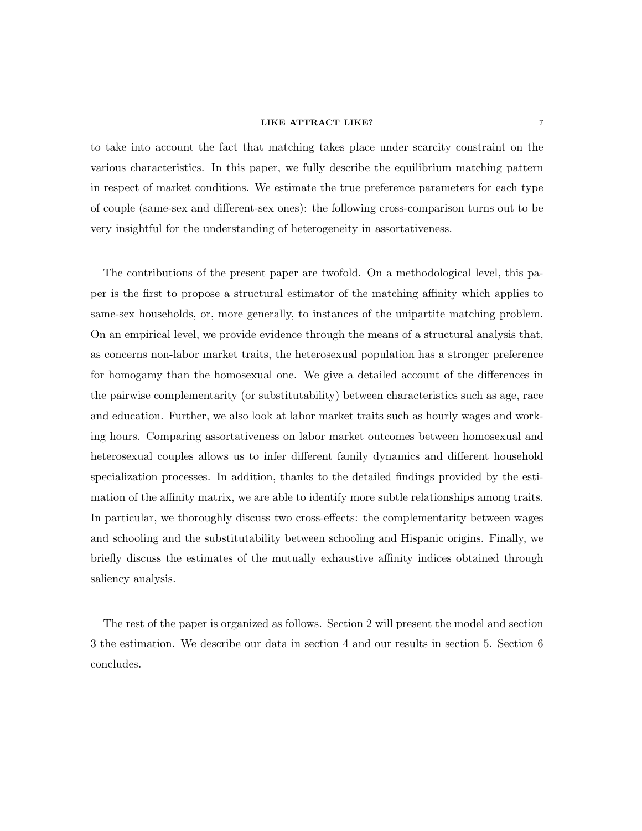to take into account the fact that matching takes place under scarcity constraint on the various characteristics. In this paper, we fully describe the equilibrium matching pattern in respect of market conditions. We estimate the true preference parameters for each type of couple (same-sex and different-sex ones): the following cross-comparison turns out to be very insightful for the understanding of heterogeneity in assortativeness.

The contributions of the present paper are twofold. On a methodological level, this paper is the first to propose a structural estimator of the matching affinity which applies to same-sex households, or, more generally, to instances of the unipartite matching problem. On an empirical level, we provide evidence through the means of a structural analysis that, as concerns non-labor market traits, the heterosexual population has a stronger preference for homogamy than the homosexual one. We give a detailed account of the differences in the pairwise complementarity (or substitutability) between characteristics such as age, race and education. Further, we also look at labor market traits such as hourly wages and working hours. Comparing assortativeness on labor market outcomes between homosexual and heterosexual couples allows us to infer different family dynamics and different household specialization processes. In addition, thanks to the detailed findings provided by the estimation of the affinity matrix, we are able to identify more subtle relationships among traits. In particular, we thoroughly discuss two cross-effects: the complementarity between wages and schooling and the substitutability between schooling and Hispanic origins. Finally, we briefly discuss the estimates of the mutually exhaustive affinity indices obtained through saliency analysis.

The rest of the paper is organized as follows. Section 2 will present the model and section 3 the estimation. We describe our data in section 4 and our results in section 5. Section 6 concludes.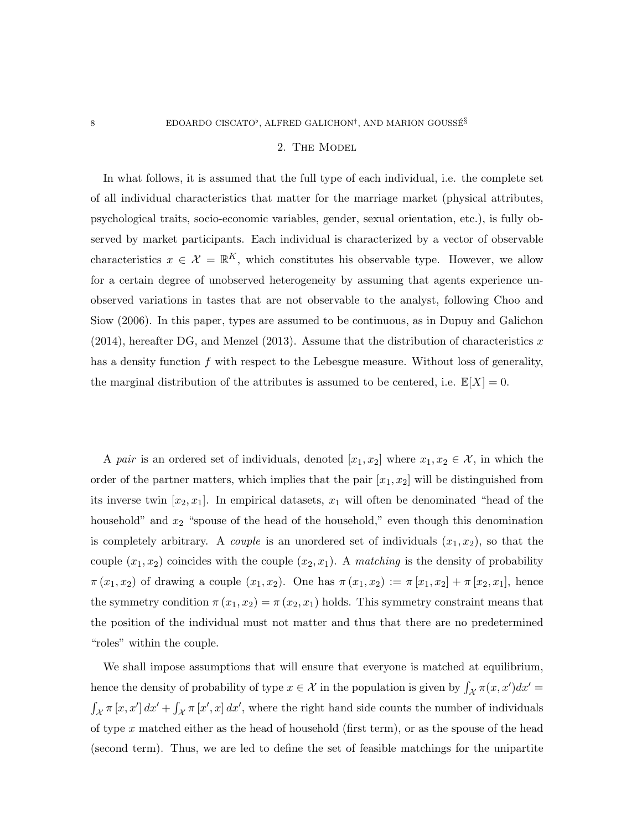#### 2. The Model

In what follows, it is assumed that the full type of each individual, i.e. the complete set of all individual characteristics that matter for the marriage market (physical attributes, psychological traits, socio-economic variables, gender, sexual orientation, etc.), is fully observed by market participants. Each individual is characterized by a vector of observable characteristics  $x \in \mathcal{X} = \mathbb{R}^K$ , which constitutes his observable type. However, we allow for a certain degree of unobserved heterogeneity by assuming that agents experience unobserved variations in tastes that are not observable to the analyst, following Choo and Siow (2006). In this paper, types are assumed to be continuous, as in Dupuy and Galichon  $(2014)$ , hereafter DG, and Menzel  $(2013)$ . Assume that the distribution of characteristics x has a density function f with respect to the Lebesgue measure. Without loss of generality, the marginal distribution of the attributes is assumed to be centered, i.e.  $\mathbb{E}[X] = 0$ .

A pair is an ordered set of individuals, denoted  $[x_1, x_2]$  where  $x_1, x_2 \in \mathcal{X}$ , in which the order of the partner matters, which implies that the pair  $[x_1, x_2]$  will be distinguished from its inverse twin  $[x_2, x_1]$ . In empirical datasets,  $x_1$  will often be denominated "head of the household" and  $x_2$  "spouse of the head of the household," even though this denomination is completely arbitrary. A *couple* is an unordered set of individuals  $(x_1, x_2)$ , so that the couple  $(x_1, x_2)$  coincides with the couple  $(x_2, x_1)$ . A matching is the density of probability  $\pi(x_1, x_2)$  of drawing a couple  $(x_1, x_2)$ . One has  $\pi(x_1, x_2) := \pi[x_1, x_2] + \pi[x_2, x_1]$ , hence the symmetry condition  $\pi(x_1, x_2) = \pi(x_2, x_1)$  holds. This symmetry constraint means that the position of the individual must not matter and thus that there are no predetermined "roles" within the couple.

We shall impose assumptions that will ensure that everyone is matched at equilibrium, hence the density of probability of type  $x \in \mathcal{X}$  in the population is given by  $\int_{\mathcal{X}} \pi(x, x') dx' =$  $\int_{\mathcal{X}} \pi[x, x'] dx' + \int_{\mathcal{X}} \pi[x', x] dx'$ , where the right hand side counts the number of individuals of type x matched either as the head of household (first term), or as the spouse of the head (second term). Thus, we are led to define the set of feasible matchings for the unipartite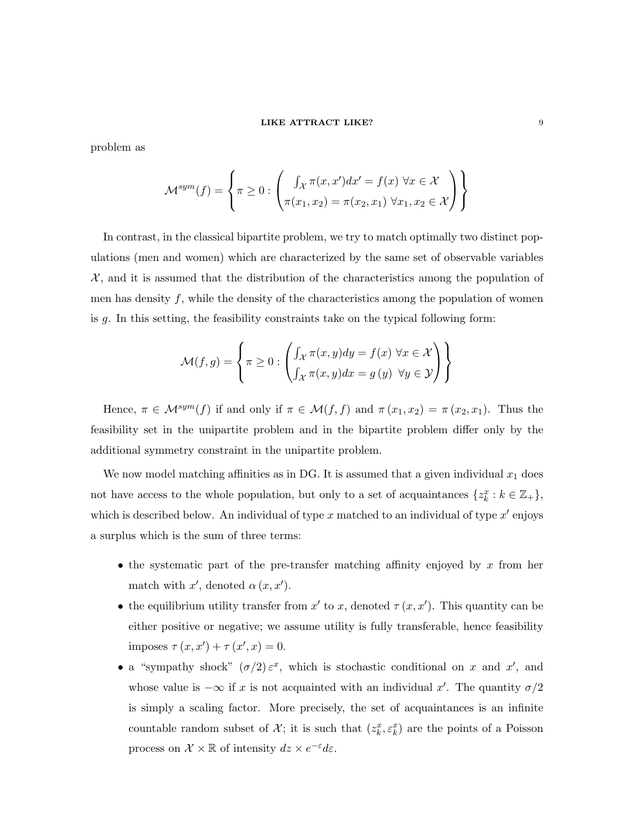problem as

$$
\mathcal{M}^{sym}(f) = \left\{ \pi \ge 0 : \left( \int_{\mathcal{X}} \pi(x, x') dx' = f(x) \,\forall x \in \mathcal{X} \atop \pi(x_1, x_2) = \pi(x_2, x_1) \,\forall x_1, x_2 \in \mathcal{X} \right) \right\}
$$

In contrast, in the classical bipartite problem, we try to match optimally two distinct populations (men and women) which are characterized by the same set of observable variables  $X$ , and it is assumed that the distribution of the characteristics among the population of men has density  $f$ , while the density of the characteristics among the population of women is g. In this setting, the feasibility constraints take on the typical following form:

$$
\mathcal{M}(f,g) = \left\{ \pi \ge 0 : \left( \int_{\mathcal{X}} \pi(x,y) dy = f(x) \,\,\forall x \in \mathcal{X} \right) \right\}
$$

Hence,  $\pi \in \mathcal{M}^{sym}(f)$  if and only if  $\pi \in \mathcal{M}(f, f)$  and  $\pi(x_1, x_2) = \pi(x_2, x_1)$ . Thus the feasibility set in the unipartite problem and in the bipartite problem differ only by the additional symmetry constraint in the unipartite problem.

We now model matching affinities as in DG. It is assumed that a given individual  $x_1$  does not have access to the whole population, but only to a set of acquaintances  $\{z_k^x : k \in \mathbb{Z}_+\},$ which is described below. An individual of type x matched to an individual of type  $x'$  enjoys a surplus which is the sum of three terms:

- the systematic part of the pre-transfer matching affinity enjoyed by  $x$  from her match with  $x'$ , denoted  $\alpha(x, x')$ .
- the equilibrium utility transfer from  $x'$  to x, denoted  $\tau(x, x')$ . This quantity can be either positive or negative; we assume utility is fully transferable, hence feasibility imposes  $\tau(x, x') + \tau(x', x) = 0.$
- a "sympathy shock"  $(\sigma/2) \varepsilon^x$ , which is stochastic conditional on x and x', and whose value is  $-\infty$  if x is not acquainted with an individual x'. The quantity  $\sigma/2$ is simply a scaling factor. More precisely, the set of acquaintances is an infinite countable random subset of  $\mathcal{X}$ ; it is such that  $(z_k^x, \varepsilon_k^x)$  are the points of a Poisson process on  $\mathcal{X} \times \mathbb{R}$  of intensity  $dz \times e^{-\varepsilon}d\varepsilon$ .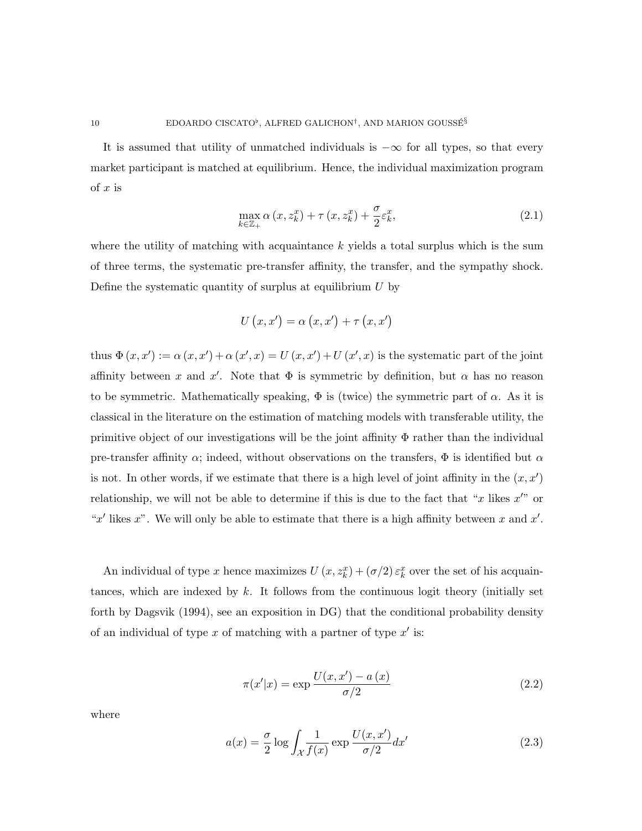It is assumed that utility of unmatched individuals is  $-\infty$  for all types, so that every market participant is matched at equilibrium. Hence, the individual maximization program of  $x$  is

$$
\max_{k \in \mathbb{Z}_{+}} \alpha(x, z_k^x) + \tau(x, z_k^x) + \frac{\sigma}{2} \varepsilon_k^x, \tag{2.1}
$$

where the utility of matching with acquaintance  $k$  yields a total surplus which is the sum of three terms, the systematic pre-transfer affinity, the transfer, and the sympathy shock. Define the systematic quantity of surplus at equilibrium  $U$  by

$$
U(x, x') = \alpha(x, x') + \tau(x, x')
$$

thus  $\Phi(x, x') := \alpha(x, x') + \alpha(x', x) = U(x, x') + U(x', x)$  is the systematic part of the joint affinity between x and x'. Note that  $\Phi$  is symmetric by definition, but  $\alpha$  has no reason to be symmetric. Mathematically speaking,  $\Phi$  is (twice) the symmetric part of  $\alpha$ . As it is classical in the literature on the estimation of matching models with transferable utility, the primitive object of our investigations will be the joint affinity  $\Phi$  rather than the individual pre-transfer affinity  $\alpha$ ; indeed, without observations on the transfers,  $\Phi$  is identified but  $\alpha$ is not. In other words, if we estimate that there is a high level of joint affinity in the  $(x, x')$ relationship, we will not be able to determine if this is due to the fact that "x likes  $x$ " or "x' likes x". We will only be able to estimate that there is a high affinity between x and  $x'$ .

An individual of type x hence maximizes  $U(x, z_k^x) + (\sigma/2) \varepsilon_k^x$  over the set of his acquaintances, which are indexed by  $k$ . It follows from the continuous logit theory (initially set forth by Dagsvik (1994), see an exposition in DG) that the conditional probability density of an individual of type  $x$  of matching with a partner of type  $x'$  is:

$$
\pi(x'|x) = \exp\frac{U(x,x') - a(x)}{\sigma/2}
$$
\n(2.2)

where

$$
a(x) = \frac{\sigma}{2} \log \int_{\mathcal{X}} \frac{1}{f(x)} \exp \frac{U(x, x')}{\sigma/2} dx'
$$
 (2.3)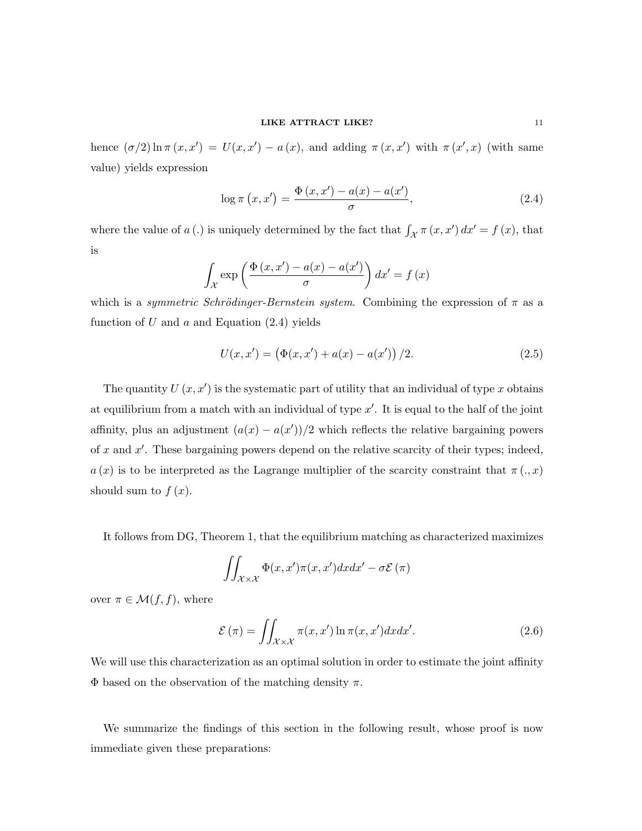hence  $(\sigma/2) \ln \pi (x, x') = U(x, x') - a(x)$ , and adding  $\pi (x, x')$  with  $\pi (x', x)$  (with same value) yields expression

$$
\log \pi (x, x') = \frac{\Phi(x, x') - a(x) - a(x')}{\sigma},
$$
\n(2.4)

where the value of a (.) is uniquely determined by the fact that  $\int_{\mathcal{X}} \pi(x, x') dx' = f(x)$ , that is

$$
\int_{\mathcal{X}} \exp\left(\frac{\Phi\left(x, x^{\prime}\right) - a(x) - a(x^{\prime})}{\sigma}\right) dx^{\prime} = f(x)
$$

which is a *symmetric Schrödinger-Bernstein system*. Combining the expression of  $\pi$  as a function of  $U$  and  $a$  and Equation  $(2.4)$  yields

$$
U(x, x') = (\Phi(x, x') + a(x) - a(x')) / 2.
$$
 (2.5)

The quantity  $U(x, x')$  is the systematic part of utility that an individual of type x obtains at equilibrium from a match with an individual of type  $x'$ . It is equal to the half of the joint affinity, plus an adjustment  $(a(x) - a(x'))/2$  which reflects the relative bargaining powers of  $x$  and  $x'$ . These bargaining powers depend on the relative scarcity of their types; indeed,  $a(x)$  is to be interpreted as the Lagrange multiplier of the scarcity constraint that  $\pi(x)$ should sum to  $f(x)$ .

It follows from DG, Theorem 1, that the equilibrium matching as characterized maximizes

$$
\iint_{\mathcal{X}\times\mathcal{X}} \Phi(x, x')\pi(x, x') dx dx' - \sigma \mathcal{E}(\pi)
$$

over  $\pi \in \mathcal{M}(f, f)$ , where

$$
\mathcal{E}(\pi) = \iint_{\mathcal{X} \times \mathcal{X}} \pi(x, x') \ln \pi(x, x') dx dx'.
$$
 (2.6)

We will use this characterization as an optimal solution in order to estimate the joint affinity  $\Phi$  based on the observation of the matching density  $\pi$ .

We summarize the findings of this section in the following result, whose proof is now immediate given these preparations: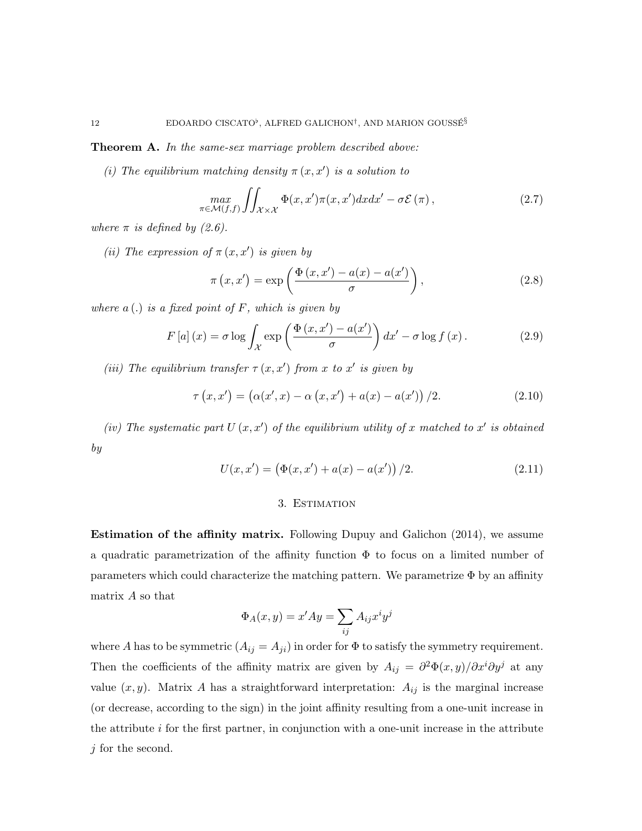Theorem A. In the same-sex marriage problem described above:

(i) The equilibrium matching density  $\pi(x, x')$  is a solution to

$$
\max_{\pi \in \mathcal{M}(f,f)} \iint_{\mathcal{X} \times \mathcal{X}} \Phi(x,x')\pi(x,x')dxdx' - \sigma \mathcal{E}(\pi), \tag{2.7}
$$

where  $\pi$  is defined by (2.6).

(ii) The expression of  $\pi(x, x')$  is given by

$$
\pi(x, x') = \exp\left(\frac{\Phi(x, x') - a(x) - a(x')}{\sigma}\right),\tag{2.8}
$$

where  $a(.)$  is a fixed point of F, which is given by

$$
F\left[a\right](x) = \sigma \log \int_{\mathcal{X}} \exp\left(\frac{\Phi\left(x, x^{\prime}\right) - a(x^{\prime})}{\sigma}\right) dx^{\prime} - \sigma \log f\left(x\right). \tag{2.9}
$$

(iii) The equilibrium transfer  $\tau(x, x')$  from x to x' is given by

$$
\tau(x, x') = (\alpha(x', x) - \alpha(x, x') + a(x) - a(x')) / 2.
$$
 (2.10)

(iv) The systematic part  $U(x, x')$  of the equilibrium utility of x matched to x' is obtained by

$$
U(x, x') = (\Phi(x, x') + a(x) - a(x')) / 2.
$$
 (2.11)

### 3. Estimation

Estimation of the affinity matrix. Following Dupuy and Galichon (2014), we assume a quadratic parametrization of the affinity function  $\Phi$  to focus on a limited number of parameters which could characterize the matching pattern. We parametrize  $\Phi$  by an affinity matrix A so that

$$
\Phi_A(x,y) = x'Ay = \sum_{ij} A_{ij}x^i y^j
$$

where A has to be symmetric  $(A_{ij} = A_{ji})$  in order for  $\Phi$  to satisfy the symmetry requirement. Then the coefficients of the affinity matrix are given by  $A_{ij} = \frac{\partial^2 \Phi(x, y)}{\partial x^i \partial y^j}$  at any value  $(x, y)$ . Matrix A has a straightforward interpretation:  $A_{ij}$  is the marginal increase (or decrease, according to the sign) in the joint affinity resulting from a one-unit increase in the attribute  $i$  for the first partner, in conjunction with a one-unit increase in the attribute  $j$  for the second.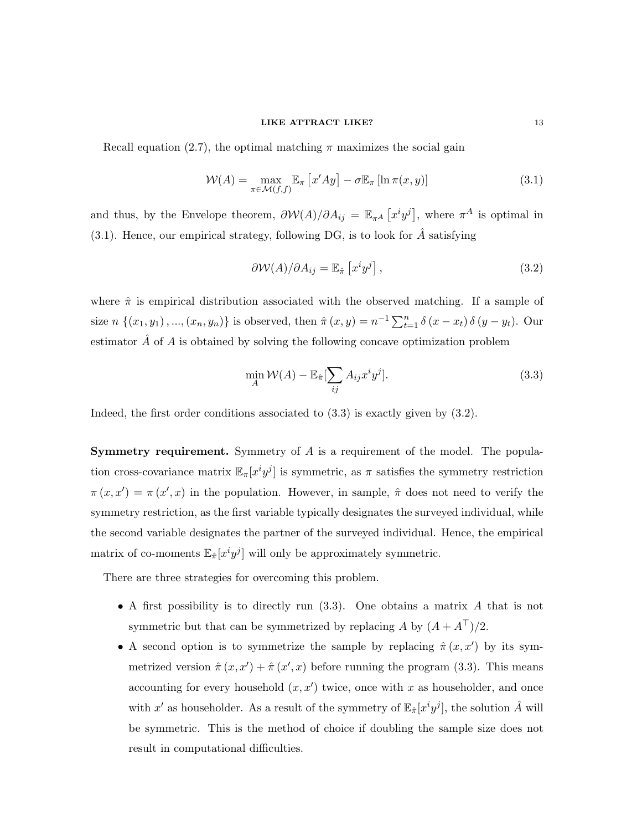Recall equation (2.7), the optimal matching  $\pi$  maximizes the social gain

$$
\mathcal{W}(A) = \max_{\pi \in \mathcal{M}(f,f)} \mathbb{E}_{\pi} \left[ x' A y \right] - \sigma \mathbb{E}_{\pi} \left[ \ln \pi(x, y) \right] \tag{3.1}
$$

and thus, by the Envelope theorem,  $\partial W(A)/\partial A_{ij} = \mathbb{E}_{\pi^A} [x^i y^j]$ , where  $\pi^A$  is optimal in (3.1). Hence, our empirical strategy, following DG, is to look for  $\ddot{A}$  satisfying

$$
\frac{\partial \mathcal{W}(A)}{\partial A_{ij}} = \mathbb{E}_{\hat{\pi}} \left[ x^i y^j \right],\tag{3.2}
$$

where  $\hat{\pi}$  is empirical distribution associated with the observed matching. If a sample of size  $n \{(x_1, y_1), ..., (x_n, y_n)\}$  is observed, then  $\hat{\pi}(x, y) = n^{-1} \sum_{t=1}^n \delta(x - x_t) \delta(y - y_t)$ . Our estimator  $\hat{A}$  of  $A$  is obtained by solving the following concave optimization problem

$$
\min_{A} \mathcal{W}(A) - \mathbb{E}_{\hat{\pi}}[\sum_{ij} A_{ij} x^i y^j].
$$
\n(3.3)

Indeed, the first order conditions associated to (3.3) is exactly given by (3.2).

**Symmetry requirement.** Symmetry of  $A$  is a requirement of the model. The population cross-covariance matrix  $\mathbb{E}_{\pi}[x^i y^j]$  is symmetric, as  $\pi$  satisfies the symmetry restriction  $\pi(x, x') = \pi(x', x)$  in the population. However, in sample,  $\hat{\pi}$  does not need to verify the symmetry restriction, as the first variable typically designates the surveyed individual, while the second variable designates the partner of the surveyed individual. Hence, the empirical matrix of co-moments  $\mathbb{E}_{\hat{\pi}}[x^i y^j]$  will only be approximately symmetric.

There are three strategies for overcoming this problem.

- A first possibility is to directly run (3.3). One obtains a matrix A that is not symmetric but that can be symmetrized by replacing A by  $(A + A^{\top})/2$ .
- A second option is to symmetrize the sample by replacing  $\hat{\pi}(x, x')$  by its symmetrized version  $\hat{\pi}(x, x') + \hat{\pi}(x', x)$  before running the program (3.3). This means accounting for every household  $(x, x')$  twice, once with x as householder, and once with  $x'$  as householder. As a result of the symmetry of  $\mathbb{E}_{\hat{\pi}}[x^i y^j]$ , the solution  $\hat{A}$  will be symmetric. This is the method of choice if doubling the sample size does not result in computational difficulties.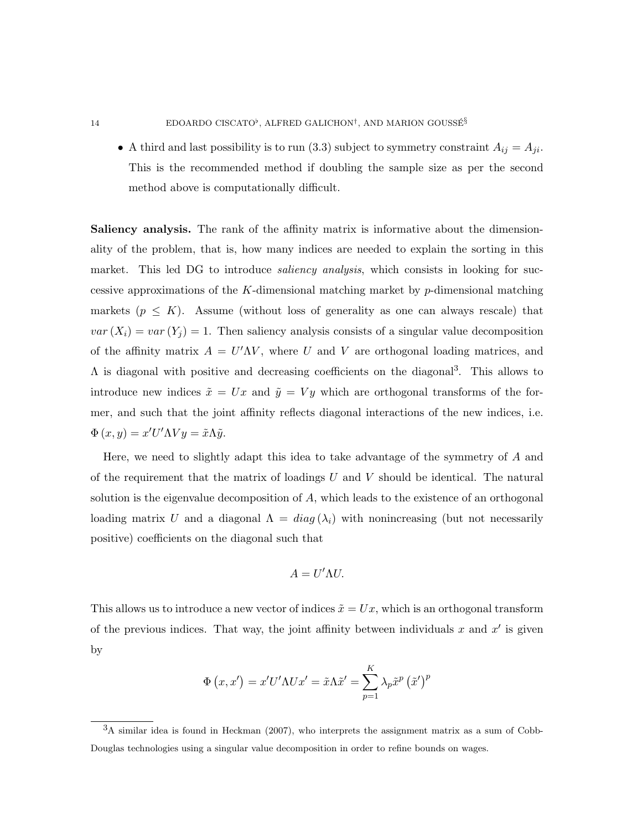• A third and last possibility is to run (3.3) subject to symmetry constraint  $A_{ij} = A_{ji}$ . This is the recommended method if doubling the sample size as per the second method above is computationally difficult.

Saliency analysis. The rank of the affinity matrix is informative about the dimensionality of the problem, that is, how many indices are needed to explain the sorting in this market. This led DG to introduce *saliency analysis*, which consists in looking for successive approximations of the K-dimensional matching market by  $p$ -dimensional matching markets  $(p \leq K)$ . Assume (without loss of generality as one can always rescale) that  $var(X_i) = var(Y_i) = 1$ . Then saliency analysis consists of a singular value decomposition of the affinity matrix  $A = U'\Lambda V$ , where U and V are orthogonal loading matrices, and  $\Lambda$  is diagonal with positive and decreasing coefficients on the diagonal<sup>3</sup>. This allows to introduce new indices  $\tilde{x} = Ux$  and  $\tilde{y} = Vy$  which are orthogonal transforms of the former, and such that the joint affinity reflects diagonal interactions of the new indices, i.e.  $\Phi(x, y) = x'U'\Lambda Vy = \tilde{x}\Lambda \tilde{y}.$ 

Here, we need to slightly adapt this idea to take advantage of the symmetry of A and of the requirement that the matrix of loadings  $U$  and  $V$  should be identical. The natural solution is the eigenvalue decomposition of  $A$ , which leads to the existence of an orthogonal loading matrix U and a diagonal  $\Lambda = diag(\lambda_i)$  with nonincreasing (but not necessarily positive) coefficients on the diagonal such that

$$
A=U'\Lambda U.
$$

This allows us to introduce a new vector of indices  $\tilde{x} = Ux$ , which is an orthogonal transform of the previous indices. That way, the joint affinity between individuals x and  $x'$  is given by

$$
\Phi(x, x') = x'U'\Lambda Ux' = \tilde{x}\Lambda \tilde{x}' = \sum_{p=1}^{K} \lambda_p \tilde{x}^p (\tilde{x}')^p
$$

<sup>3</sup>A similar idea is found in Heckman (2007), who interprets the assignment matrix as a sum of Cobb-Douglas technologies using a singular value decomposition in order to refine bounds on wages.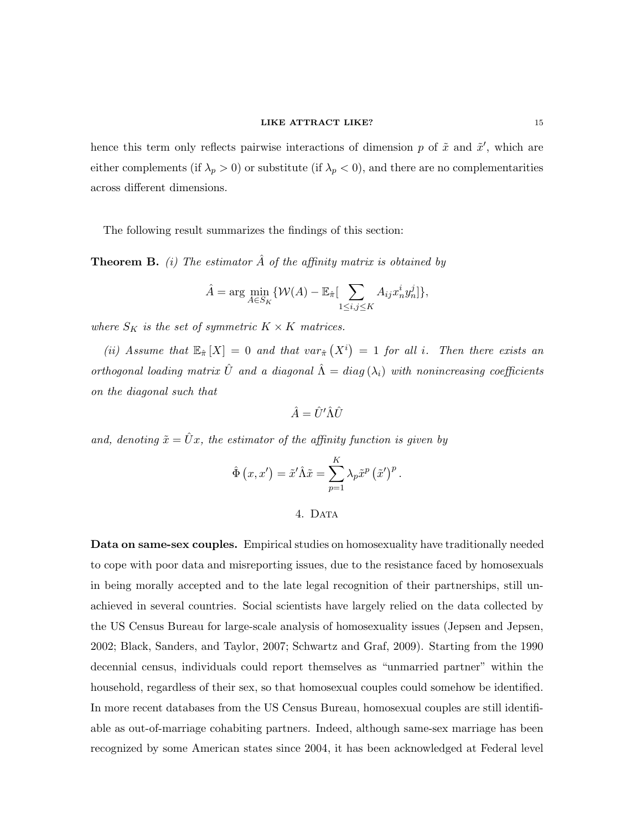hence this term only reflects pairwise interactions of dimension p of  $\tilde{x}$  and  $\tilde{x}'$ , which are either complements (if  $\lambda_p > 0$ ) or substitute (if  $\lambda_p < 0$ ), and there are no complementarities across different dimensions.

The following result summarizes the findings of this section:

**Theorem B.** (i) The estimator  $\hat{A}$  of the affinity matrix is obtained by

$$
\hat{A} = \arg\min_{A \in S_K} \{ \mathcal{W}(A) - \mathbb{E}_{\hat{\pi}} \left[ \sum_{1 \le i,j \le K} A_{ij} x_n^i y_n^j \right] \},\
$$

where  $S_K$  is the set of symmetric  $K \times K$  matrices.

(ii) Assume that  $\mathbb{E}_{\hat{\pi}}[X] = 0$  and that  $var_{\hat{\pi}}(X^i) = 1$  for all i. Then there exists an orthogonal loading matrix  $\hat{U}$  and a diagonal  $\hat{\Lambda} = diag(\lambda_i)$  with nonincreasing coefficients on the diagonal such that

$$
\hat{A} = \hat{U}' \hat{\Lambda} \hat{U}
$$

and, denoting  $\tilde{x} = \hat{U}x$ , the estimator of the affinity function is given by

$$
\hat{\Phi}(x, x') = \tilde{x}' \hat{\Lambda} \tilde{x} = \sum_{p=1}^{K} \lambda_p \tilde{x}^p (\tilde{x}')^p.
$$

### 4. DATA

Data on same-sex couples. Empirical studies on homosexuality have traditionally needed to cope with poor data and misreporting issues, due to the resistance faced by homosexuals in being morally accepted and to the late legal recognition of their partnerships, still unachieved in several countries. Social scientists have largely relied on the data collected by the US Census Bureau for large-scale analysis of homosexuality issues (Jepsen and Jepsen, 2002; Black, Sanders, and Taylor, 2007; Schwartz and Graf, 2009). Starting from the 1990 decennial census, individuals could report themselves as "unmarried partner" within the household, regardless of their sex, so that homosexual couples could somehow be identified. In more recent databases from the US Census Bureau, homosexual couples are still identifiable as out-of-marriage cohabiting partners. Indeed, although same-sex marriage has been recognized by some American states since 2004, it has been acknowledged at Federal level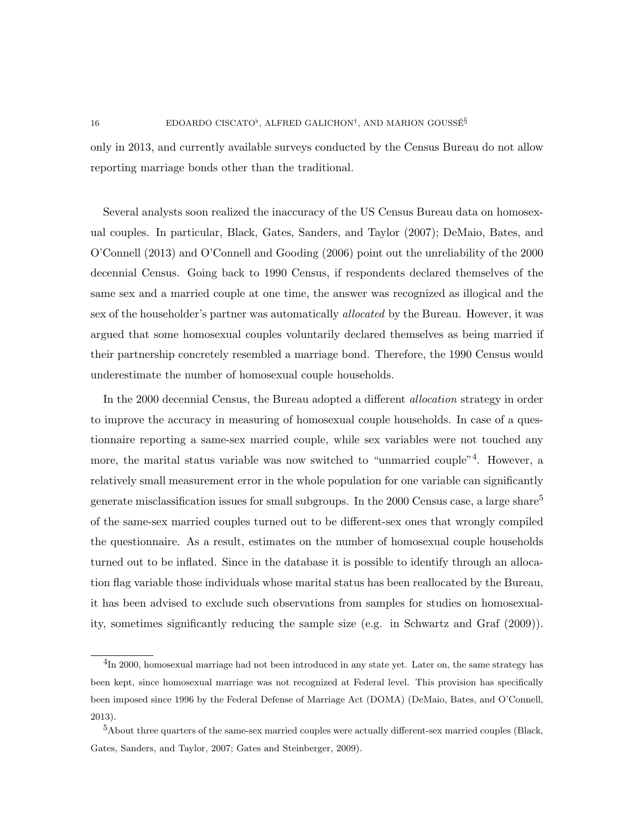only in 2013, and currently available surveys conducted by the Census Bureau do not allow reporting marriage bonds other than the traditional.

Several analysts soon realized the inaccuracy of the US Census Bureau data on homosexual couples. In particular, Black, Gates, Sanders, and Taylor (2007); DeMaio, Bates, and O'Connell (2013) and O'Connell and Gooding (2006) point out the unreliability of the 2000 decennial Census. Going back to 1990 Census, if respondents declared themselves of the same sex and a married couple at one time, the answer was recognized as illogical and the sex of the householder's partner was automatically allocated by the Bureau. However, it was argued that some homosexual couples voluntarily declared themselves as being married if their partnership concretely resembled a marriage bond. Therefore, the 1990 Census would underestimate the number of homosexual couple households.

In the 2000 decennial Census, the Bureau adopted a different allocation strategy in order to improve the accuracy in measuring of homosexual couple households. In case of a questionnaire reporting a same-sex married couple, while sex variables were not touched any more, the marital status variable was now switched to "unmarried couple"<sup>4</sup>. However, a relatively small measurement error in the whole population for one variable can significantly generate misclassification issues for small subgroups. In the 2000 Census case, a large share<sup>5</sup> of the same-sex married couples turned out to be different-sex ones that wrongly compiled the questionnaire. As a result, estimates on the number of homosexual couple households turned out to be inflated. Since in the database it is possible to identify through an allocation flag variable those individuals whose marital status has been reallocated by the Bureau, it has been advised to exclude such observations from samples for studies on homosexuality, sometimes significantly reducing the sample size (e.g. in Schwartz and Graf (2009)).

 $^{4}$ In 2000, homosexual marriage had not been introduced in any state yet. Later on, the same strategy has been kept, since homosexual marriage was not recognized at Federal level. This provision has specifically been imposed since 1996 by the Federal Defense of Marriage Act (DOMA) (DeMaio, Bates, and O'Connell, 2013).

<sup>&</sup>lt;sup>5</sup>About three quarters of the same-sex married couples were actually different-sex married couples (Black, Gates, Sanders, and Taylor, 2007; Gates and Steinberger, 2009).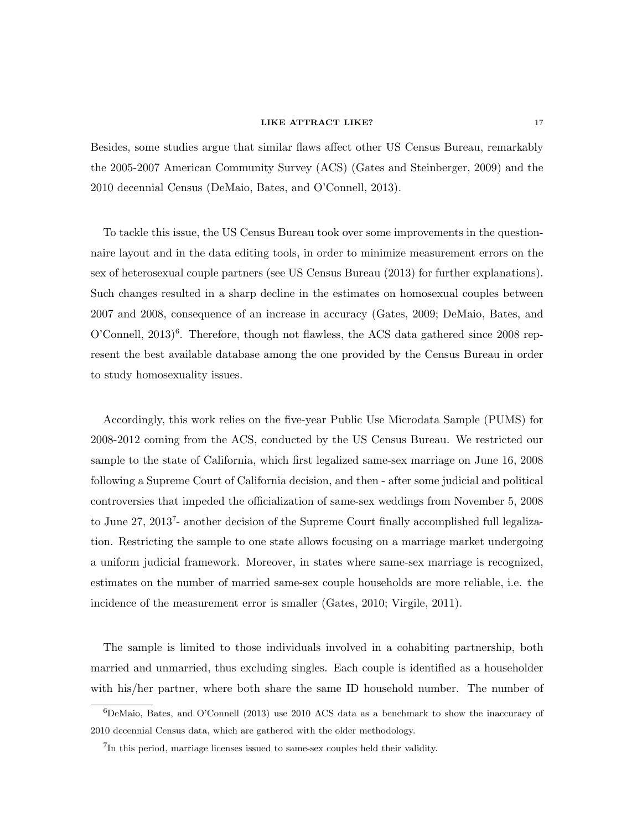Besides, some studies argue that similar flaws affect other US Census Bureau, remarkably the 2005-2007 American Community Survey (ACS) (Gates and Steinberger, 2009) and the 2010 decennial Census (DeMaio, Bates, and O'Connell, 2013).

To tackle this issue, the US Census Bureau took over some improvements in the questionnaire layout and in the data editing tools, in order to minimize measurement errors on the sex of heterosexual couple partners (see US Census Bureau (2013) for further explanations). Such changes resulted in a sharp decline in the estimates on homosexual couples between 2007 and 2008, consequence of an increase in accuracy (Gates, 2009; DeMaio, Bates, and  $O'$ Connell,  $2013$ <sup>6</sup>. Therefore, though not flawless, the ACS data gathered since  $2008$  represent the best available database among the one provided by the Census Bureau in order to study homosexuality issues.

Accordingly, this work relies on the five-year Public Use Microdata Sample (PUMS) for 2008-2012 coming from the ACS, conducted by the US Census Bureau. We restricted our sample to the state of California, which first legalized same-sex marriage on June 16, 2008 following a Supreme Court of California decision, and then - after some judicial and political controversies that impeded the officialization of same-sex weddings from November 5, 2008 to June 27, 2013<sup>7</sup>- another decision of the Supreme Court finally accomplished full legalization. Restricting the sample to one state allows focusing on a marriage market undergoing a uniform judicial framework. Moreover, in states where same-sex marriage is recognized, estimates on the number of married same-sex couple households are more reliable, i.e. the incidence of the measurement error is smaller (Gates, 2010; Virgile, 2011).

The sample is limited to those individuals involved in a cohabiting partnership, both married and unmarried, thus excluding singles. Each couple is identified as a householder with his/her partner, where both share the same ID household number. The number of

 ${}^{6}$ DeMaio, Bates, and O'Connell (2013) use 2010 ACS data as a benchmark to show the inaccuracy of 2010 decennial Census data, which are gathered with the older methodology.

<sup>&</sup>lt;sup>7</sup>In this period, marriage licenses issued to same-sex couples held their validity.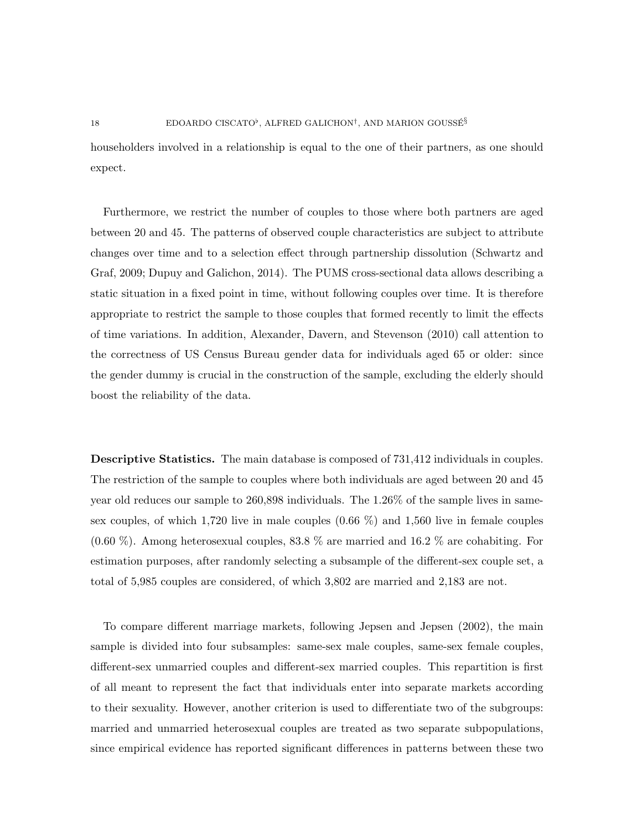householders involved in a relationship is equal to the one of their partners, as one should expect.

Furthermore, we restrict the number of couples to those where both partners are aged between 20 and 45. The patterns of observed couple characteristics are subject to attribute changes over time and to a selection effect through partnership dissolution (Schwartz and Graf, 2009; Dupuy and Galichon, 2014). The PUMS cross-sectional data allows describing a static situation in a fixed point in time, without following couples over time. It is therefore appropriate to restrict the sample to those couples that formed recently to limit the effects of time variations. In addition, Alexander, Davern, and Stevenson (2010) call attention to the correctness of US Census Bureau gender data for individuals aged 65 or older: since the gender dummy is crucial in the construction of the sample, excluding the elderly should boost the reliability of the data.

Descriptive Statistics. The main database is composed of 731,412 individuals in couples. The restriction of the sample to couples where both individuals are aged between 20 and 45 year old reduces our sample to 260,898 individuals. The 1.26% of the sample lives in samesex couples, of which 1,720 live in male couples  $(0.66\%)$  and 1,560 live in female couples (0.60 %). Among heterosexual couples, 83.8 % are married and 16.2 % are cohabiting. For estimation purposes, after randomly selecting a subsample of the different-sex couple set, a total of 5,985 couples are considered, of which 3,802 are married and 2,183 are not.

To compare different marriage markets, following Jepsen and Jepsen (2002), the main sample is divided into four subsamples: same-sex male couples, same-sex female couples, different-sex unmarried couples and different-sex married couples. This repartition is first of all meant to represent the fact that individuals enter into separate markets according to their sexuality. However, another criterion is used to differentiate two of the subgroups: married and unmarried heterosexual couples are treated as two separate subpopulations, since empirical evidence has reported significant differences in patterns between these two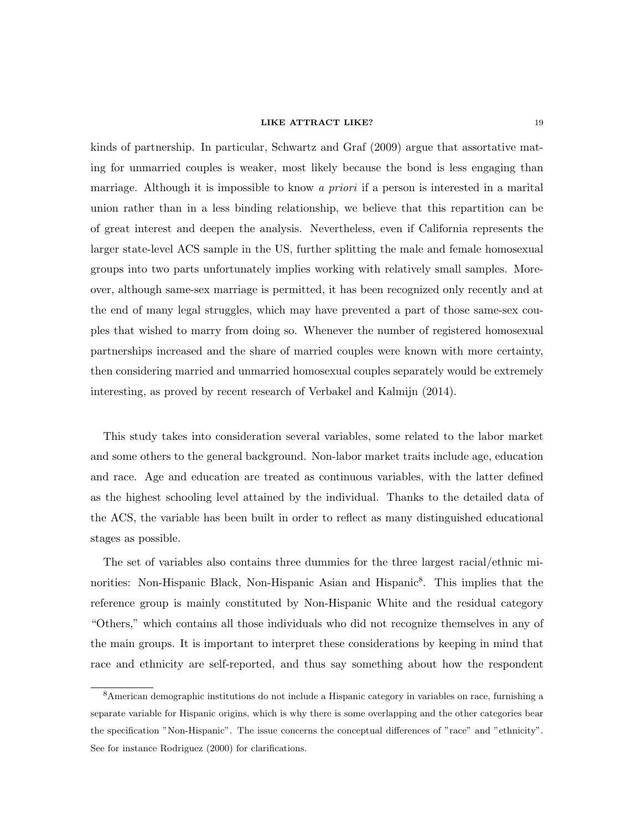kinds of partnership. In particular, Schwartz and Graf (2009) argue that assortative mating for unmarried couples is weaker, most likely because the bond is less engaging than marriage. Although it is impossible to know a *priori* if a person is interested in a marital union rather than in a less binding relationship, we believe that this repartition can be of great interest and deepen the analysis. Nevertheless, even if California represents the larger state-level ACS sample in the US, further splitting the male and female homosexual groups into two parts unfortunately implies working with relatively small samples. Moreover, although same-sex marriage is permitted, it has been recognized only recently and at the end of many legal struggles, which may have prevented a part of those same-sex couples that wished to marry from doing so. Whenever the number of registered homosexual partnerships increased and the share of married couples were known with more certainty, then considering married and unmarried homosexual couples separately would be extremely interesting, as proved by recent research of Verbakel and Kalmijn (2014).

This study takes into consideration several variables, some related to the labor market and some others to the general background. Non-labor market traits include age, education and race. Age and education are treated as continuous variables, with the latter defined as the highest schooling level attained by the individual. Thanks to the detailed data of the ACS, the variable has been built in order to reflect as many distinguished educational stages as possible.

The set of variables also contains three dummies for the three largest racial/ethnic minorities: Non-Hispanic Black, Non-Hispanic Asian and Hispanic<sup>8</sup>. This implies that the reference group is mainly constituted by Non-Hispanic White and the residual category "Others," which contains all those individuals who did not recognize themselves in any of the main groups. It is important to interpret these considerations by keeping in mind that race and ethnicity are self-reported, and thus say something about how the respondent

<sup>8</sup>American demographic institutions do not include a Hispanic category in variables on race, furnishing a separate variable for Hispanic origins, which is why there is some overlapping and the other categories bear the specification "Non-Hispanic". The issue concerns the conceptual differences of "race" and "ethnicity". See for instance Rodriguez (2000) for clarifications.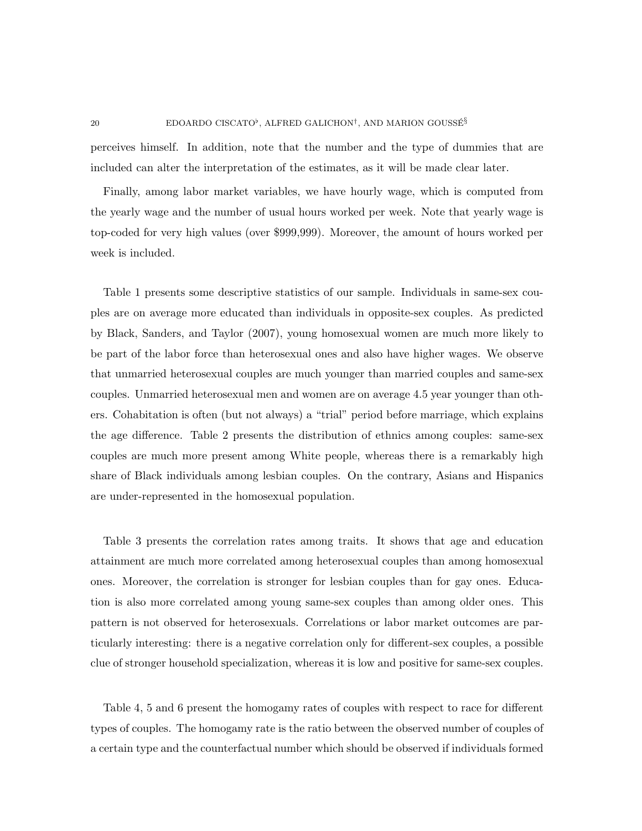perceives himself. In addition, note that the number and the type of dummies that are included can alter the interpretation of the estimates, as it will be made clear later.

Finally, among labor market variables, we have hourly wage, which is computed from the yearly wage and the number of usual hours worked per week. Note that yearly wage is top-coded for very high values (over \$999,999). Moreover, the amount of hours worked per week is included.

Table 1 presents some descriptive statistics of our sample. Individuals in same-sex couples are on average more educated than individuals in opposite-sex couples. As predicted by Black, Sanders, and Taylor (2007), young homosexual women are much more likely to be part of the labor force than heterosexual ones and also have higher wages. We observe that unmarried heterosexual couples are much younger than married couples and same-sex couples. Unmarried heterosexual men and women are on average 4.5 year younger than others. Cohabitation is often (but not always) a "trial" period before marriage, which explains the age difference. Table 2 presents the distribution of ethnics among couples: same-sex couples are much more present among White people, whereas there is a remarkably high share of Black individuals among lesbian couples. On the contrary, Asians and Hispanics are under-represented in the homosexual population.

Table 3 presents the correlation rates among traits. It shows that age and education attainment are much more correlated among heterosexual couples than among homosexual ones. Moreover, the correlation is stronger for lesbian couples than for gay ones. Education is also more correlated among young same-sex couples than among older ones. This pattern is not observed for heterosexuals. Correlations or labor market outcomes are particularly interesting: there is a negative correlation only for different-sex couples, a possible clue of stronger household specialization, whereas it is low and positive for same-sex couples.

Table 4, 5 and 6 present the homogamy rates of couples with respect to race for different types of couples. The homogamy rate is the ratio between the observed number of couples of a certain type and the counterfactual number which should be observed if individuals formed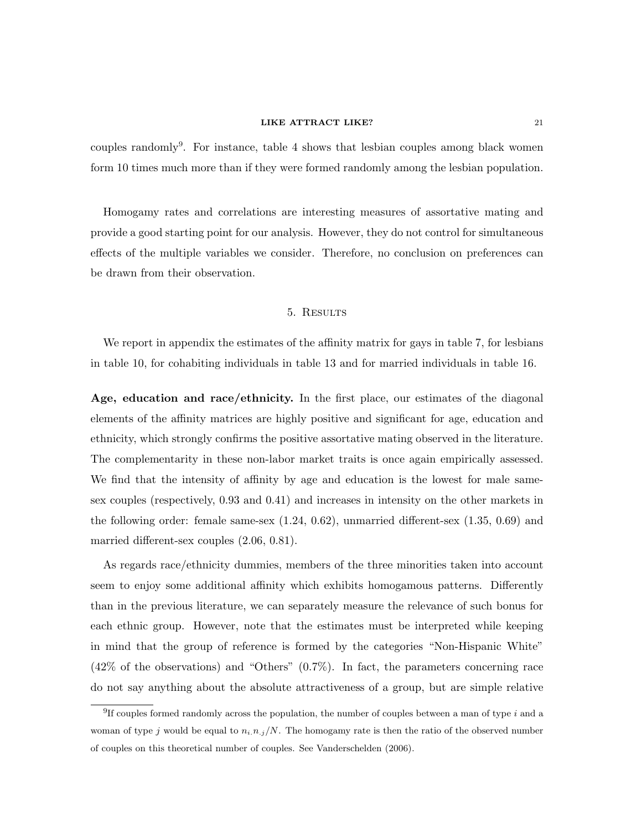couples randomly<sup>9</sup>. For instance, table 4 shows that lesbian couples among black women form 10 times much more than if they were formed randomly among the lesbian population.

Homogamy rates and correlations are interesting measures of assortative mating and provide a good starting point for our analysis. However, they do not control for simultaneous effects of the multiple variables we consider. Therefore, no conclusion on preferences can be drawn from their observation.

#### 5. Results

We report in appendix the estimates of the affinity matrix for gays in table 7, for lesbians in table 10, for cohabiting individuals in table 13 and for married individuals in table 16.

Age, education and race/ethnicity. In the first place, our estimates of the diagonal elements of the affinity matrices are highly positive and significant for age, education and ethnicity, which strongly confirms the positive assortative mating observed in the literature. The complementarity in these non-labor market traits is once again empirically assessed. We find that the intensity of affinity by age and education is the lowest for male samesex couples (respectively, 0.93 and 0.41) and increases in intensity on the other markets in the following order: female same-sex (1.24, 0.62), unmarried different-sex (1.35, 0.69) and married different-sex couples (2.06, 0.81).

As regards race/ethnicity dummies, members of the three minorities taken into account seem to enjoy some additional affinity which exhibits homogamous patterns. Differently than in the previous literature, we can separately measure the relevance of such bonus for each ethnic group. However, note that the estimates must be interpreted while keeping in mind that the group of reference is formed by the categories "Non-Hispanic White" (42% of the observations) and "Others" (0.7%). In fact, the parameters concerning race do not say anything about the absolute attractiveness of a group, but are simple relative

<sup>&</sup>lt;sup>9</sup>If couples formed randomly across the population, the number of couples between a man of type i and a woman of type j would be equal to  $n_i$ ,  $n_j/N$ . The homogamy rate is then the ratio of the observed number of couples on this theoretical number of couples. See Vanderschelden (2006).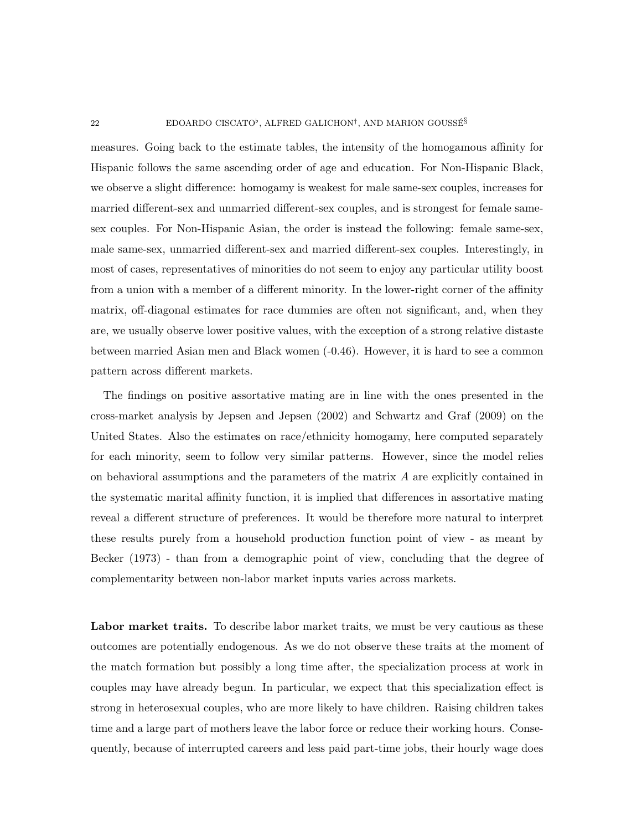measures. Going back to the estimate tables, the intensity of the homogamous affinity for Hispanic follows the same ascending order of age and education. For Non-Hispanic Black, we observe a slight difference: homogamy is weakest for male same-sex couples, increases for married different-sex and unmarried different-sex couples, and is strongest for female samesex couples. For Non-Hispanic Asian, the order is instead the following: female same-sex, male same-sex, unmarried different-sex and married different-sex couples. Interestingly, in most of cases, representatives of minorities do not seem to enjoy any particular utility boost from a union with a member of a different minority. In the lower-right corner of the affinity matrix, off-diagonal estimates for race dummies are often not significant, and, when they are, we usually observe lower positive values, with the exception of a strong relative distaste between married Asian men and Black women (-0.46). However, it is hard to see a common pattern across different markets.

The findings on positive assortative mating are in line with the ones presented in the cross-market analysis by Jepsen and Jepsen (2002) and Schwartz and Graf (2009) on the United States. Also the estimates on race/ethnicity homogamy, here computed separately for each minority, seem to follow very similar patterns. However, since the model relies on behavioral assumptions and the parameters of the matrix A are explicitly contained in the systematic marital affinity function, it is implied that differences in assortative mating reveal a different structure of preferences. It would be therefore more natural to interpret these results purely from a household production function point of view - as meant by Becker (1973) - than from a demographic point of view, concluding that the degree of complementarity between non-labor market inputs varies across markets.

Labor market traits. To describe labor market traits, we must be very cautious as these outcomes are potentially endogenous. As we do not observe these traits at the moment of the match formation but possibly a long time after, the specialization process at work in couples may have already begun. In particular, we expect that this specialization effect is strong in heterosexual couples, who are more likely to have children. Raising children takes time and a large part of mothers leave the labor force or reduce their working hours. Consequently, because of interrupted careers and less paid part-time jobs, their hourly wage does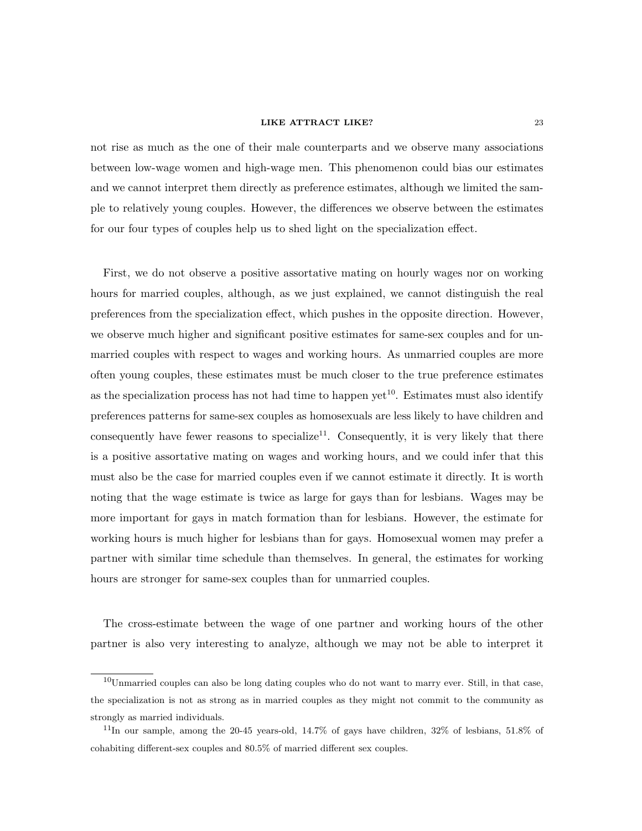not rise as much as the one of their male counterparts and we observe many associations between low-wage women and high-wage men. This phenomenon could bias our estimates and we cannot interpret them directly as preference estimates, although we limited the sample to relatively young couples. However, the differences we observe between the estimates for our four types of couples help us to shed light on the specialization effect.

First, we do not observe a positive assortative mating on hourly wages nor on working hours for married couples, although, as we just explained, we cannot distinguish the real preferences from the specialization effect, which pushes in the opposite direction. However, we observe much higher and significant positive estimates for same-sex couples and for unmarried couples with respect to wages and working hours. As unmarried couples are more often young couples, these estimates must be much closer to the true preference estimates as the specialization process has not had time to happen  $\text{vet}^{10}$ . Estimates must also identify preferences patterns for same-sex couples as homosexuals are less likely to have children and consequently have fewer reasons to specialize<sup>11</sup>. Consequently, it is very likely that there is a positive assortative mating on wages and working hours, and we could infer that this must also be the case for married couples even if we cannot estimate it directly. It is worth noting that the wage estimate is twice as large for gays than for lesbians. Wages may be more important for gays in match formation than for lesbians. However, the estimate for working hours is much higher for lesbians than for gays. Homosexual women may prefer a partner with similar time schedule than themselves. In general, the estimates for working hours are stronger for same-sex couples than for unmarried couples.

The cross-estimate between the wage of one partner and working hours of the other partner is also very interesting to analyze, although we may not be able to interpret it

<sup>10</sup>Unmarried couples can also be long dating couples who do not want to marry ever. Still, in that case, the specialization is not as strong as in married couples as they might not commit to the community as strongly as married individuals.

 $11$ In our sample, among the 20-45 years-old, 14.7% of gays have children, 32% of lesbians, 51.8% of cohabiting different-sex couples and 80.5% of married different sex couples.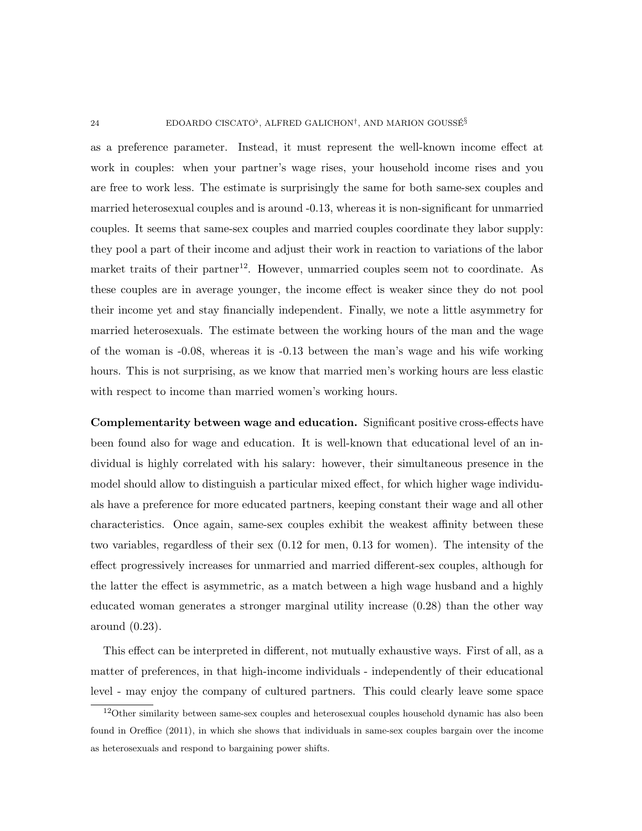#### 24 EDOARDO CISCATO<sup>b</sup>, ALFRED GALICHON<sup>†</sup>, AND MARION GOUSSÉ<sup>§</sup>

as a preference parameter. Instead, it must represent the well-known income effect at work in couples: when your partner's wage rises, your household income rises and you are free to work less. The estimate is surprisingly the same for both same-sex couples and married heterosexual couples and is around -0.13, whereas it is non-significant for unmarried couples. It seems that same-sex couples and married couples coordinate they labor supply: they pool a part of their income and adjust their work in reaction to variations of the labor market traits of their partner<sup>12</sup>. However, unmarried couples seem not to coordinate. As these couples are in average younger, the income effect is weaker since they do not pool their income yet and stay financially independent. Finally, we note a little asymmetry for married heterosexuals. The estimate between the working hours of the man and the wage of the woman is -0.08, whereas it is -0.13 between the man's wage and his wife working hours. This is not surprising, as we know that married men's working hours are less elastic with respect to income than married women's working hours.

Complementarity between wage and education. Significant positive cross-effects have been found also for wage and education. It is well-known that educational level of an individual is highly correlated with his salary: however, their simultaneous presence in the model should allow to distinguish a particular mixed effect, for which higher wage individuals have a preference for more educated partners, keeping constant their wage and all other characteristics. Once again, same-sex couples exhibit the weakest affinity between these two variables, regardless of their sex (0.12 for men, 0.13 for women). The intensity of the effect progressively increases for unmarried and married different-sex couples, although for the latter the effect is asymmetric, as a match between a high wage husband and a highly educated woman generates a stronger marginal utility increase (0.28) than the other way around (0.23).

This effect can be interpreted in different, not mutually exhaustive ways. First of all, as a matter of preferences, in that high-income individuals - independently of their educational level - may enjoy the company of cultured partners. This could clearly leave some space

 $12$ Other similarity between same-sex couples and heterosexual couples household dynamic has also been found in Oreffice (2011), in which she shows that individuals in same-sex couples bargain over the income as heterosexuals and respond to bargaining power shifts.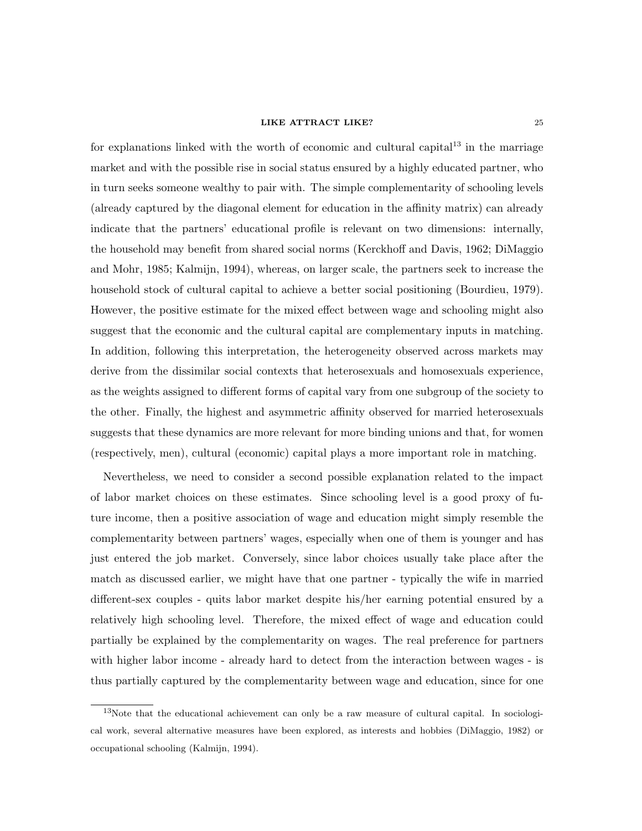for explanations linked with the worth of economic and cultural capital<sup>13</sup> in the marriage market and with the possible rise in social status ensured by a highly educated partner, who in turn seeks someone wealthy to pair with. The simple complementarity of schooling levels (already captured by the diagonal element for education in the affinity matrix) can already indicate that the partners' educational profile is relevant on two dimensions: internally, the household may benefit from shared social norms (Kerckhoff and Davis, 1962; DiMaggio and Mohr, 1985; Kalmijn, 1994), whereas, on larger scale, the partners seek to increase the household stock of cultural capital to achieve a better social positioning (Bourdieu, 1979). However, the positive estimate for the mixed effect between wage and schooling might also suggest that the economic and the cultural capital are complementary inputs in matching. In addition, following this interpretation, the heterogeneity observed across markets may derive from the dissimilar social contexts that heterosexuals and homosexuals experience, as the weights assigned to different forms of capital vary from one subgroup of the society to the other. Finally, the highest and asymmetric affinity observed for married heterosexuals suggests that these dynamics are more relevant for more binding unions and that, for women (respectively, men), cultural (economic) capital plays a more important role in matching.

Nevertheless, we need to consider a second possible explanation related to the impact of labor market choices on these estimates. Since schooling level is a good proxy of future income, then a positive association of wage and education might simply resemble the complementarity between partners' wages, especially when one of them is younger and has just entered the job market. Conversely, since labor choices usually take place after the match as discussed earlier, we might have that one partner - typically the wife in married different-sex couples - quits labor market despite his/her earning potential ensured by a relatively high schooling level. Therefore, the mixed effect of wage and education could partially be explained by the complementarity on wages. The real preference for partners with higher labor income - already hard to detect from the interaction between wages - is thus partially captured by the complementarity between wage and education, since for one

<sup>&</sup>lt;sup>13</sup>Note that the educational achievement can only be a raw measure of cultural capital. In sociological work, several alternative measures have been explored, as interests and hobbies (DiMaggio, 1982) or occupational schooling (Kalmijn, 1994).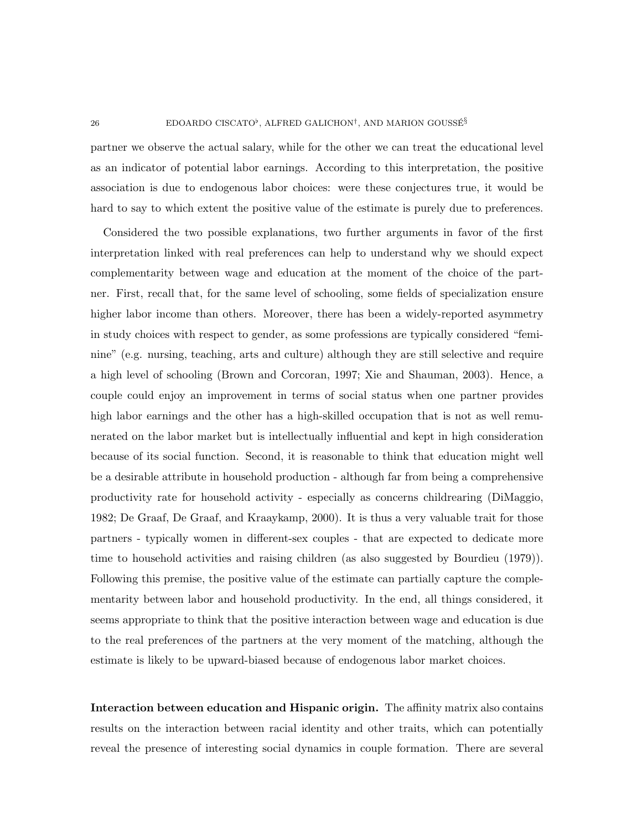partner we observe the actual salary, while for the other we can treat the educational level as an indicator of potential labor earnings. According to this interpretation, the positive association is due to endogenous labor choices: were these conjectures true, it would be hard to say to which extent the positive value of the estimate is purely due to preferences.

Considered the two possible explanations, two further arguments in favor of the first interpretation linked with real preferences can help to understand why we should expect complementarity between wage and education at the moment of the choice of the partner. First, recall that, for the same level of schooling, some fields of specialization ensure higher labor income than others. Moreover, there has been a widely-reported asymmetry in study choices with respect to gender, as some professions are typically considered "feminine" (e.g. nursing, teaching, arts and culture) although they are still selective and require a high level of schooling (Brown and Corcoran, 1997; Xie and Shauman, 2003). Hence, a couple could enjoy an improvement in terms of social status when one partner provides high labor earnings and the other has a high-skilled occupation that is not as well remunerated on the labor market but is intellectually influential and kept in high consideration because of its social function. Second, it is reasonable to think that education might well be a desirable attribute in household production - although far from being a comprehensive productivity rate for household activity - especially as concerns childrearing (DiMaggio, 1982; De Graaf, De Graaf, and Kraaykamp, 2000). It is thus a very valuable trait for those partners - typically women in different-sex couples - that are expected to dedicate more time to household activities and raising children (as also suggested by Bourdieu (1979)). Following this premise, the positive value of the estimate can partially capture the complementarity between labor and household productivity. In the end, all things considered, it seems appropriate to think that the positive interaction between wage and education is due to the real preferences of the partners at the very moment of the matching, although the estimate is likely to be upward-biased because of endogenous labor market choices.

Interaction between education and Hispanic origin. The affinity matrix also contains results on the interaction between racial identity and other traits, which can potentially reveal the presence of interesting social dynamics in couple formation. There are several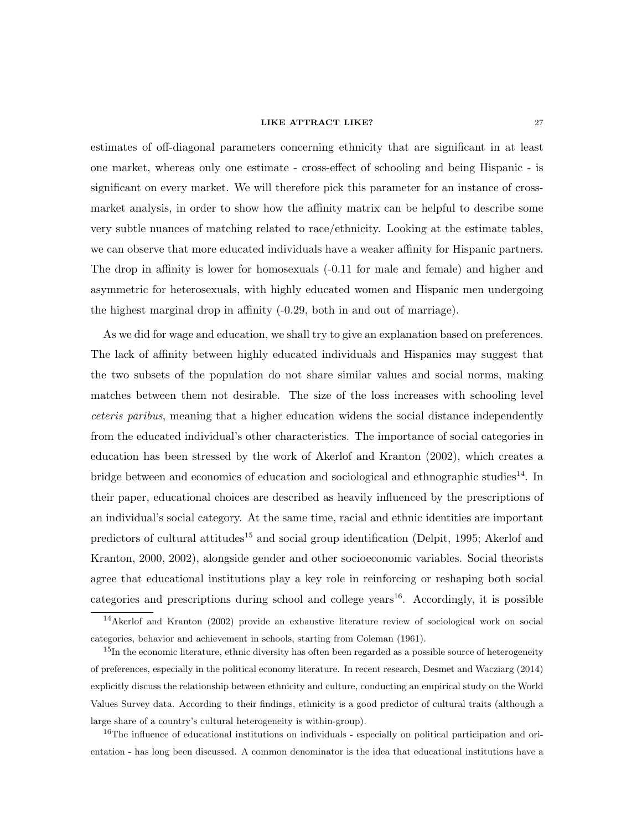estimates of off-diagonal parameters concerning ethnicity that are significant in at least one market, whereas only one estimate - cross-effect of schooling and being Hispanic - is significant on every market. We will therefore pick this parameter for an instance of crossmarket analysis, in order to show how the affinity matrix can be helpful to describe some very subtle nuances of matching related to race/ethnicity. Looking at the estimate tables, we can observe that more educated individuals have a weaker affinity for Hispanic partners. The drop in affinity is lower for homosexuals (-0.11 for male and female) and higher and asymmetric for heterosexuals, with highly educated women and Hispanic men undergoing the highest marginal drop in affinity (-0.29, both in and out of marriage).

As we did for wage and education, we shall try to give an explanation based on preferences. The lack of affinity between highly educated individuals and Hispanics may suggest that the two subsets of the population do not share similar values and social norms, making matches between them not desirable. The size of the loss increases with schooling level ceteris paribus, meaning that a higher education widens the social distance independently from the educated individual's other characteristics. The importance of social categories in education has been stressed by the work of Akerlof and Kranton (2002), which creates a bridge between and economics of education and sociological and ethnographic studies<sup>14</sup>. In their paper, educational choices are described as heavily influenced by the prescriptions of an individual's social category. At the same time, racial and ethnic identities are important predictors of cultural attitudes<sup>15</sup> and social group identification (Delpit, 1995; Akerlof and Kranton, 2000, 2002), alongside gender and other socioeconomic variables. Social theorists agree that educational institutions play a key role in reinforcing or reshaping both social categories and prescriptions during school and college years<sup>16</sup>. Accordingly, it is possible

<sup>16</sup>The influence of educational institutions on individuals - especially on political participation and orientation - has long been discussed. A common denominator is the idea that educational institutions have a

<sup>14</sup>Akerlof and Kranton (2002) provide an exhaustive literature review of sociological work on social categories, behavior and achievement in schools, starting from Coleman (1961).

<sup>&</sup>lt;sup>15</sup>In the economic literature, ethnic diversity has often been regarded as a possible source of heterogeneity of preferences, especially in the political economy literature. In recent research, Desmet and Wacziarg (2014) explicitly discuss the relationship between ethnicity and culture, conducting an empirical study on the World Values Survey data. According to their findings, ethnicity is a good predictor of cultural traits (although a large share of a country's cultural heterogeneity is within-group).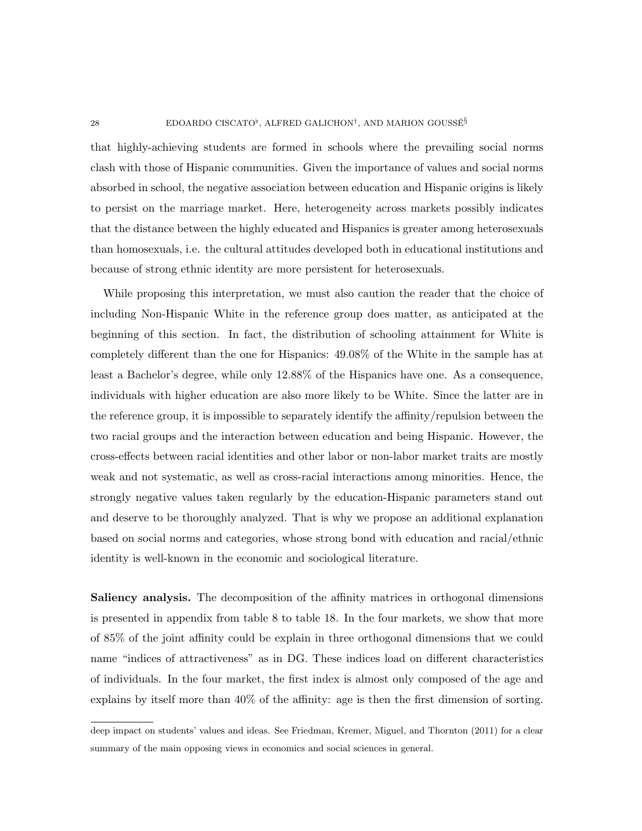#### 28 EDOARDO CISCATO<sup>b</sup>, ALFRED GALICHON<sup>†</sup>, AND MARION GOUSSÉ<sup>§</sup>

that highly-achieving students are formed in schools where the prevailing social norms clash with those of Hispanic communities. Given the importance of values and social norms absorbed in school, the negative association between education and Hispanic origins is likely to persist on the marriage market. Here, heterogeneity across markets possibly indicates that the distance between the highly educated and Hispanics is greater among heterosexuals than homosexuals, i.e. the cultural attitudes developed both in educational institutions and because of strong ethnic identity are more persistent for heterosexuals.

While proposing this interpretation, we must also caution the reader that the choice of including Non-Hispanic White in the reference group does matter, as anticipated at the beginning of this section. In fact, the distribution of schooling attainment for White is completely different than the one for Hispanics: 49.08% of the White in the sample has at least a Bachelor's degree, while only 12.88% of the Hispanics have one. As a consequence, individuals with higher education are also more likely to be White. Since the latter are in the reference group, it is impossible to separately identify the affinity/repulsion between the two racial groups and the interaction between education and being Hispanic. However, the cross-effects between racial identities and other labor or non-labor market traits are mostly weak and not systematic, as well as cross-racial interactions among minorities. Hence, the strongly negative values taken regularly by the education-Hispanic parameters stand out and deserve to be thoroughly analyzed. That is why we propose an additional explanation based on social norms and categories, whose strong bond with education and racial/ethnic identity is well-known in the economic and sociological literature.

Saliency analysis. The decomposition of the affinity matrices in orthogonal dimensions is presented in appendix from table 8 to table 18. In the four markets, we show that more of 85% of the joint affinity could be explain in three orthogonal dimensions that we could name "indices of attractiveness" as in DG. These indices load on different characteristics of individuals. In the four market, the first index is almost only composed of the age and explains by itself more than 40% of the affinity: age is then the first dimension of sorting.

deep impact on students' values and ideas. See Friedman, Kremer, Miguel, and Thornton (2011) for a clear summary of the main opposing views in economics and social sciences in general.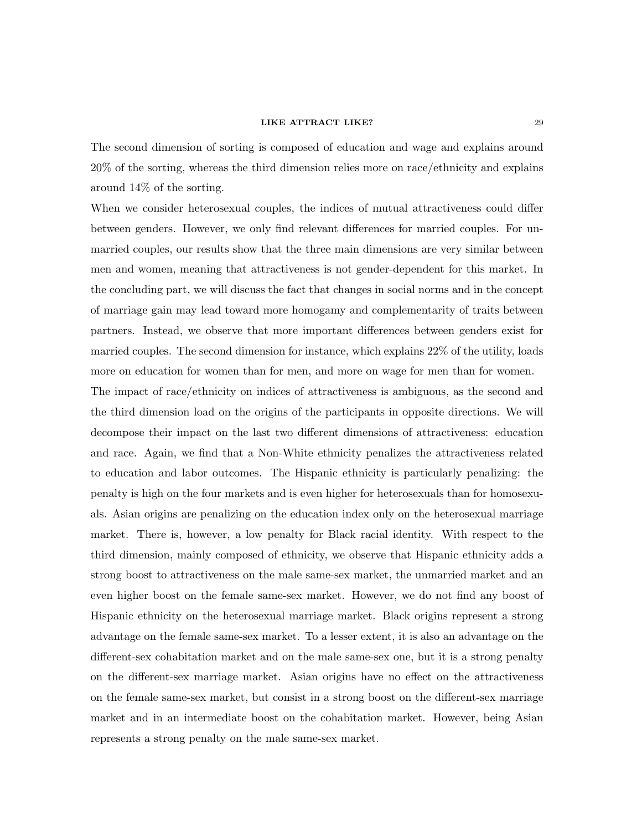The second dimension of sorting is composed of education and wage and explains around 20% of the sorting, whereas the third dimension relies more on race/ethnicity and explains around 14% of the sorting.

When we consider heterosexual couples, the indices of mutual attractiveness could differ between genders. However, we only find relevant differences for married couples. For unmarried couples, our results show that the three main dimensions are very similar between men and women, meaning that attractiveness is not gender-dependent for this market. In the concluding part, we will discuss the fact that changes in social norms and in the concept of marriage gain may lead toward more homogamy and complementarity of traits between partners. Instead, we observe that more important differences between genders exist for married couples. The second dimension for instance, which explains 22% of the utility, loads more on education for women than for men, and more on wage for men than for women.

The impact of race/ethnicity on indices of attractiveness is ambiguous, as the second and the third dimension load on the origins of the participants in opposite directions. We will decompose their impact on the last two different dimensions of attractiveness: education and race. Again, we find that a Non-White ethnicity penalizes the attractiveness related to education and labor outcomes. The Hispanic ethnicity is particularly penalizing: the penalty is high on the four markets and is even higher for heterosexuals than for homosexuals. Asian origins are penalizing on the education index only on the heterosexual marriage market. There is, however, a low penalty for Black racial identity. With respect to the third dimension, mainly composed of ethnicity, we observe that Hispanic ethnicity adds a strong boost to attractiveness on the male same-sex market, the unmarried market and an even higher boost on the female same-sex market. However, we do not find any boost of Hispanic ethnicity on the heterosexual marriage market. Black origins represent a strong advantage on the female same-sex market. To a lesser extent, it is also an advantage on the different-sex cohabitation market and on the male same-sex one, but it is a strong penalty on the different-sex marriage market. Asian origins have no effect on the attractiveness on the female same-sex market, but consist in a strong boost on the different-sex marriage market and in an intermediate boost on the cohabitation market. However, being Asian represents a strong penalty on the male same-sex market.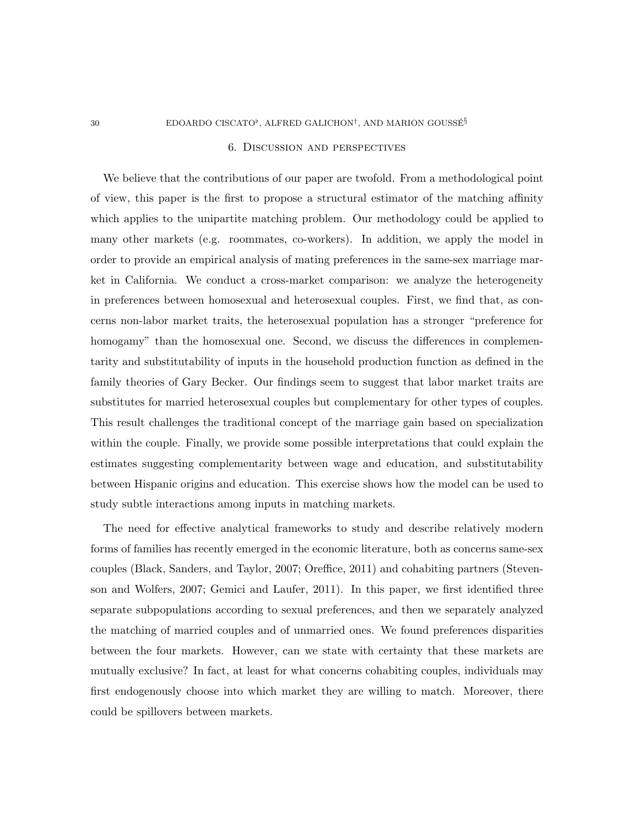#### 30 EDOARDO CISCATO<sup>b</sup>, ALFRED GALICHON<sup>†</sup>, AND MARION GOUSSE<sup>§</sup>

#### 6. Discussion and perspectives

We believe that the contributions of our paper are twofold. From a methodological point of view, this paper is the first to propose a structural estimator of the matching affinity which applies to the unipartite matching problem. Our methodology could be applied to many other markets (e.g. roommates, co-workers). In addition, we apply the model in order to provide an empirical analysis of mating preferences in the same-sex marriage market in California. We conduct a cross-market comparison: we analyze the heterogeneity in preferences between homosexual and heterosexual couples. First, we find that, as concerns non-labor market traits, the heterosexual population has a stronger "preference for homogamy" than the homosexual one. Second, we discuss the differences in complementarity and substitutability of inputs in the household production function as defined in the family theories of Gary Becker. Our findings seem to suggest that labor market traits are substitutes for married heterosexual couples but complementary for other types of couples. This result challenges the traditional concept of the marriage gain based on specialization within the couple. Finally, we provide some possible interpretations that could explain the estimates suggesting complementarity between wage and education, and substitutability between Hispanic origins and education. This exercise shows how the model can be used to study subtle interactions among inputs in matching markets.

The need for effective analytical frameworks to study and describe relatively modern forms of families has recently emerged in the economic literature, both as concerns same-sex couples (Black, Sanders, and Taylor, 2007; Oreffice, 2011) and cohabiting partners (Stevenson and Wolfers, 2007; Gemici and Laufer, 2011). In this paper, we first identified three separate subpopulations according to sexual preferences, and then we separately analyzed the matching of married couples and of unmarried ones. We found preferences disparities between the four markets. However, can we state with certainty that these markets are mutually exclusive? In fact, at least for what concerns cohabiting couples, individuals may first endogenously choose into which market they are willing to match. Moreover, there could be spillovers between markets.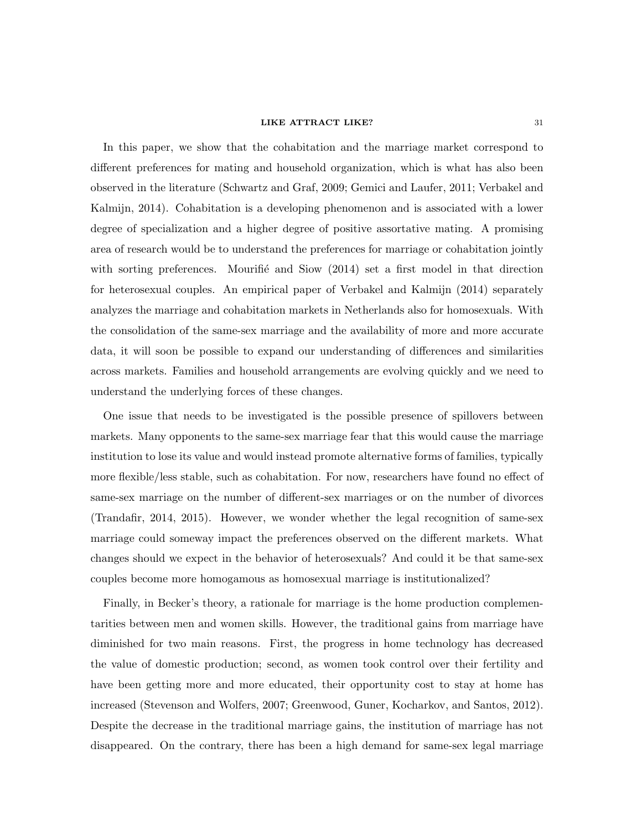In this paper, we show that the cohabitation and the marriage market correspond to different preferences for mating and household organization, which is what has also been observed in the literature (Schwartz and Graf, 2009; Gemici and Laufer, 2011; Verbakel and Kalmijn, 2014). Cohabitation is a developing phenomenon and is associated with a lower degree of specialization and a higher degree of positive assortative mating. A promising area of research would be to understand the preferences for marriage or cohabitation jointly with sorting preferences. Mourifié and Siow  $(2014)$  set a first model in that direction for heterosexual couples. An empirical paper of Verbakel and Kalmijn (2014) separately analyzes the marriage and cohabitation markets in Netherlands also for homosexuals. With the consolidation of the same-sex marriage and the availability of more and more accurate data, it will soon be possible to expand our understanding of differences and similarities across markets. Families and household arrangements are evolving quickly and we need to understand the underlying forces of these changes.

One issue that needs to be investigated is the possible presence of spillovers between markets. Many opponents to the same-sex marriage fear that this would cause the marriage institution to lose its value and would instead promote alternative forms of families, typically more flexible/less stable, such as cohabitation. For now, researchers have found no effect of same-sex marriage on the number of different-sex marriages or on the number of divorces (Trandafir, 2014, 2015). However, we wonder whether the legal recognition of same-sex marriage could someway impact the preferences observed on the different markets. What changes should we expect in the behavior of heterosexuals? And could it be that same-sex couples become more homogamous as homosexual marriage is institutionalized?

Finally, in Becker's theory, a rationale for marriage is the home production complementarities between men and women skills. However, the traditional gains from marriage have diminished for two main reasons. First, the progress in home technology has decreased the value of domestic production; second, as women took control over their fertility and have been getting more and more educated, their opportunity cost to stay at home has increased (Stevenson and Wolfers, 2007; Greenwood, Guner, Kocharkov, and Santos, 2012). Despite the decrease in the traditional marriage gains, the institution of marriage has not disappeared. On the contrary, there has been a high demand for same-sex legal marriage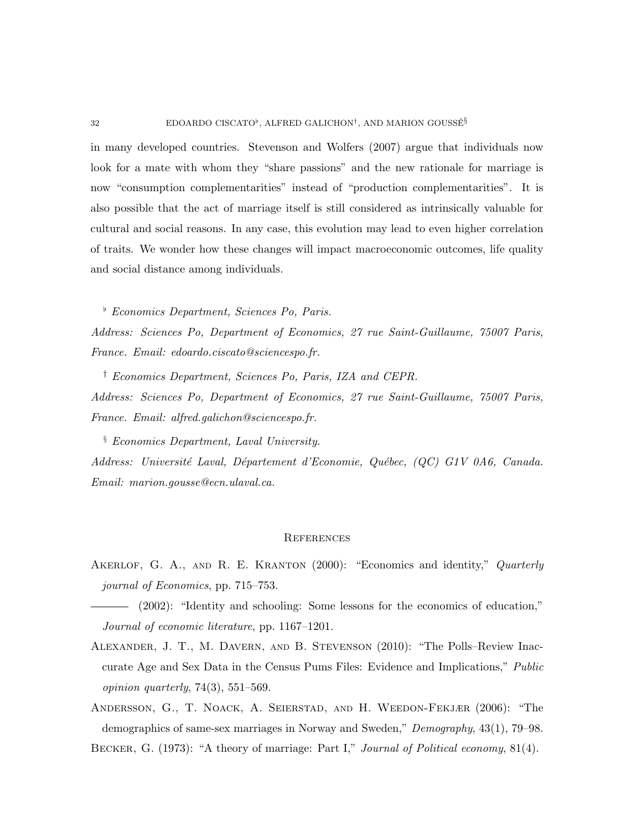in many developed countries. Stevenson and Wolfers (2007) argue that individuals now look for a mate with whom they "share passions" and the new rationale for marriage is now "consumption complementarities" instead of "production complementarities". It is also possible that the act of marriage itself is still considered as intrinsically valuable for cultural and social reasons. In any case, this evolution may lead to even higher correlation of traits. We wonder how these changes will impact macroeconomic outcomes, life quality and social distance among individuals.

 $\overline{b}$  Economics Department, Sciences Po, Paris.

Address: Sciences Po, Department of Economics, 27 rue Saint-Guillaume, 75007 Paris, France. Email: edoardo.ciscato@sciencespo.fr.

† Economics Department, Sciences Po, Paris, IZA and CEPR. Address: Sciences Po, Department of Economics, 27 rue Saint-Guillaume, 75007 Paris, France. Email: alfred.galichon@sciencespo.fr.

§ Economics Department, Laval University. Address: Université Laval, Département d'Economie, Québec, (QC) G1V 0A6, Canada. Email: marion.gousse@ecn.ulaval.ca.

#### **REFERENCES**

AKERLOF, G. A., AND R. E. KRANTON (2000): "Economics and identity," Quarterly journal of Economics, pp. 715–753.

(2002): "Identity and schooling: Some lessons for the economics of education," Journal of economic literature, pp. 1167–1201.

- Alexander, J. T., M. Davern, and B. Stevenson (2010): "The Polls–Review Inaccurate Age and Sex Data in the Census Pums Files: Evidence and Implications," Public opinion quarterly,  $74(3)$ ,  $551-569$ .
- Andersson, G., T. Noack, A. Seierstad, and H. Weedon-Fekjær (2006): "The demographics of same-sex marriages in Norway and Sweden," Demography, 43(1), 79–98.

BECKER, G. (1973): "A theory of marriage: Part I," Journal of Political economy, 81(4).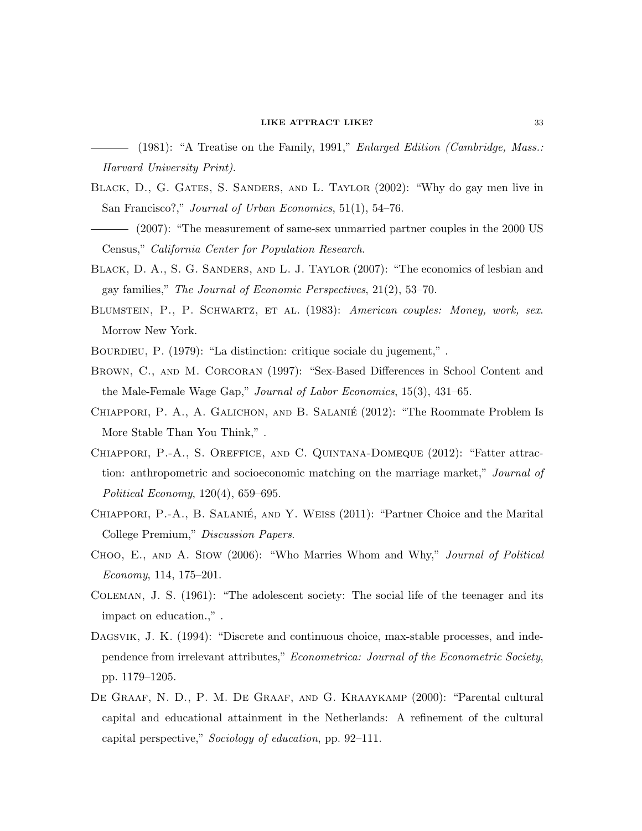- $-$  (1981): "A Treatise on the Family, 1991," *Enlarged Edition (Cambridge, Mass.:* Harvard University Print).
- Black, D., G. Gates, S. Sanders, and L. Taylor (2002): "Why do gay men live in San Francisco?," Journal of Urban Economics, 51(1), 54–76.
- (2007): "The measurement of same-sex unmarried partner couples in the 2000 US Census," California Center for Population Research.
- BLACK, D. A., S. G. SANDERS, AND L. J. TAYLOR (2007): "The economics of lesbian and gay families," The Journal of Economic Perspectives, 21(2), 53–70.
- BLUMSTEIN, P., P. SCHWARTZ, ET AL. (1983): American couples: Money, work, sex. Morrow New York.
- BOURDIEU, P. (1979): "La distinction: critique sociale du jugement,".
- BROWN, C., AND M. CORCORAN (1997): "Sex-Based Differences in School Content and the Male-Female Wage Gap," Journal of Labor Economics, 15(3), 431–65.
- Chiappori, P. A., A. Galichon, and B. Salanie´ (2012): "The Roommate Problem Is More Stable Than You Think," .
- Chiappori, P.-A., S. Oreffice, and C. Quintana-Domeque (2012): "Fatter attraction: anthropometric and socioeconomic matching on the marriage market," Journal of Political Economy, 120(4), 659–695.
- CHIAPPORI, P.-A., B. SALANIÉ, AND Y. WEISS (2011): "Partner Choice and the Marital College Premium," Discussion Papers.
- Choo, E., and A. Siow (2006): "Who Marries Whom and Why," Journal of Political Economy, 114, 175–201.
- Coleman, J. S. (1961): "The adolescent society: The social life of the teenager and its impact on education.," .
- DAGSVIK, J. K. (1994): "Discrete and continuous choice, max-stable processes, and independence from irrelevant attributes," Econometrica: Journal of the Econometric Society, pp. 1179–1205.
- De Graaf, N. D., P. M. De Graaf, and G. Kraaykamp (2000): "Parental cultural capital and educational attainment in the Netherlands: A refinement of the cultural capital perspective," Sociology of education, pp. 92–111.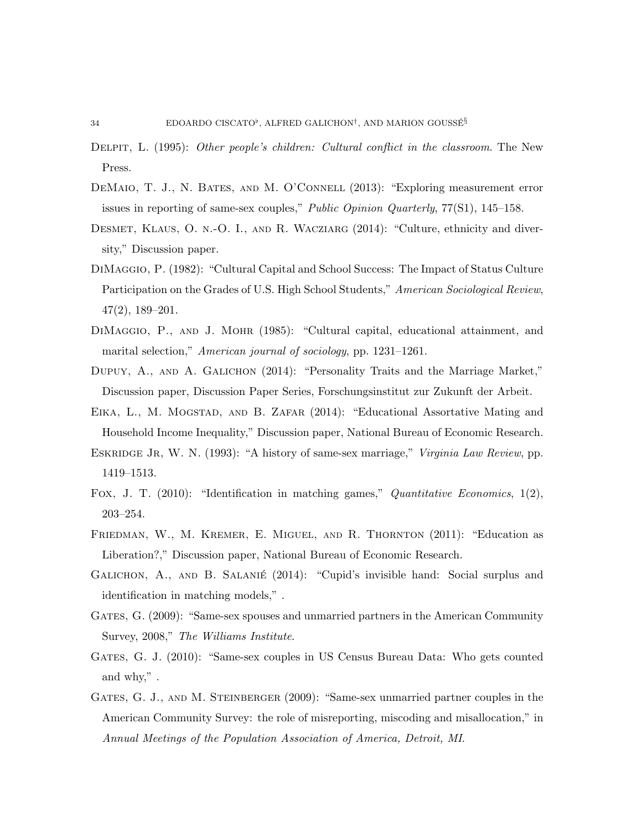- DELPIT, L. (1995): Other people's children: Cultural conflict in the classroom. The New Press.
- DEMAIO, T. J., N. BATES, AND M. O'CONNELL (2013): "Exploring measurement error issues in reporting of same-sex couples," Public Opinion Quarterly, 77(S1), 145–158.
- Desmet, Klaus, O. n.-O. I., and R. Wacziarg (2014): "Culture, ethnicity and diversity," Discussion paper.
- DiMaggio, P. (1982): "Cultural Capital and School Success: The Impact of Status Culture Participation on the Grades of U.S. High School Students," American Sociological Review, 47(2), 189–201.
- DiMaggio, P., and J. Mohr (1985): "Cultural capital, educational attainment, and marital selection," American journal of sociology, pp. 1231–1261.
- DUPUY, A., AND A. GALICHON (2014): "Personality Traits and the Marriage Market," Discussion paper, Discussion Paper Series, Forschungsinstitut zur Zukunft der Arbeit.
- EIKA, L., M. MOGSTAD, AND B. ZAFAR (2014): "Educational Assortative Mating and Household Income Inequality," Discussion paper, National Bureau of Economic Research.
- ESKRIDGE JR, W. N. (1993): "A history of same-sex marriage," *Virginia Law Review*, pp. 1419–1513.
- Fox, J. T. (2010): "Identification in matching games," Quantitative Economics, 1(2), 203–254.
- Friedman, W., M. Kremer, E. Miguel, and R. Thornton (2011): "Education as Liberation?," Discussion paper, National Bureau of Economic Research.
- GALICHON, A., AND B. SALANIÉ (2014): "Cupid's invisible hand: Social surplus and identification in matching models," .
- GATES, G. (2009): "Same-sex spouses and unmarried partners in the American Community Survey, 2008," The Williams Institute.
- GATES, G. J. (2010): "Same-sex couples in US Census Bureau Data: Who gets counted and why," .
- GATES, G. J., AND M. STEINBERGER (2009): "Same-sex unmarried partner couples in the American Community Survey: the role of misreporting, miscoding and misallocation," in Annual Meetings of the Population Association of America, Detroit, MI.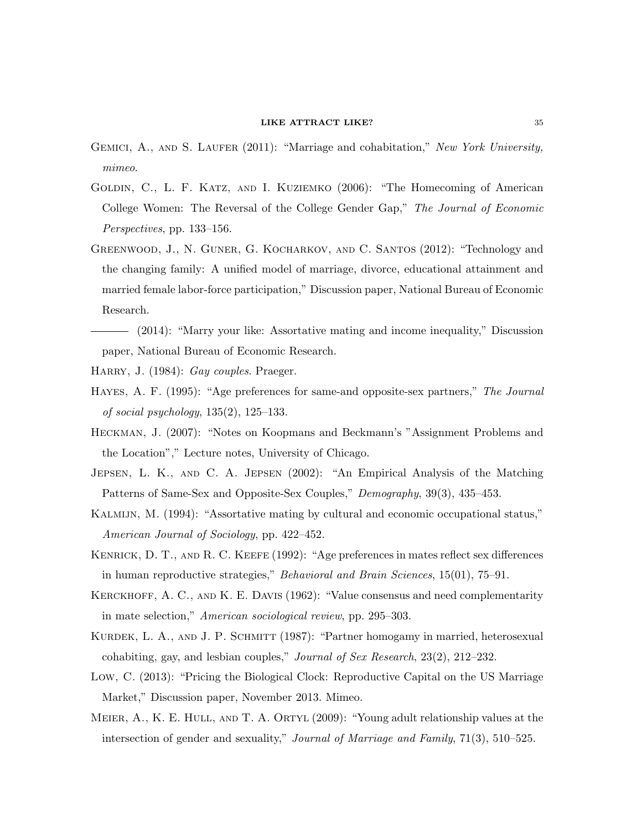- GEMICI, A., AND S. LAUFER (2011): "Marriage and cohabitation," New York University, mimeo.
- Goldin, C., L. F. Katz, and I. Kuziemko (2006): "The Homecoming of American College Women: The Reversal of the College Gender Gap," The Journal of Economic Perspectives, pp. 133–156.
- GREENWOOD, J., N. GUNER, G. KOCHARKOV, AND C. SANTOS (2012): "Technology and the changing family: A unified model of marriage, divorce, educational attainment and married female labor-force participation," Discussion paper, National Bureau of Economic Research.
- (2014): "Marry your like: Assortative mating and income inequality," Discussion paper, National Bureau of Economic Research.
- HARRY, J. (1984): Gay couples. Praeger.
- Hayes, A. F. (1995): "Age preferences for same-and opposite-sex partners," The Journal of social psychology,  $135(2)$ ,  $125-133$ .
- Heckman, J. (2007): "Notes on Koopmans and Beckmann's "Assignment Problems and the Location"," Lecture notes, University of Chicago.
- Jepsen, L. K., and C. A. Jepsen (2002): "An Empirical Analysis of the Matching Patterns of Same-Sex and Opposite-Sex Couples," Demography, 39(3), 435–453.
- Kalmijn, M. (1994): "Assortative mating by cultural and economic occupational status," American Journal of Sociology, pp. 422–452.
- Kenrick, D. T., and R. C. Keefe (1992): "Age preferences in mates reflect sex differences in human reproductive strategies," Behavioral and Brain Sciences, 15(01), 75–91.
- KERCKHOFF, A. C., AND K. E. DAVIS (1962): "Value consensus and need complementarity in mate selection," American sociological review, pp. 295–303.
- KURDEK, L. A., AND J. P. SCHMITT (1987): "Partner homogamy in married, heterosexual cohabiting, gay, and lesbian couples," Journal of Sex Research, 23(2), 212–232.
- Low, C. (2013): "Pricing the Biological Clock: Reproductive Capital on the US Marriage Market," Discussion paper, November 2013. Mimeo.
- MEIER, A., K. E. HULL, AND T. A. ORTYL (2009): "Young adult relationship values at the intersection of gender and sexuality," Journal of Marriage and Family, 71(3), 510–525.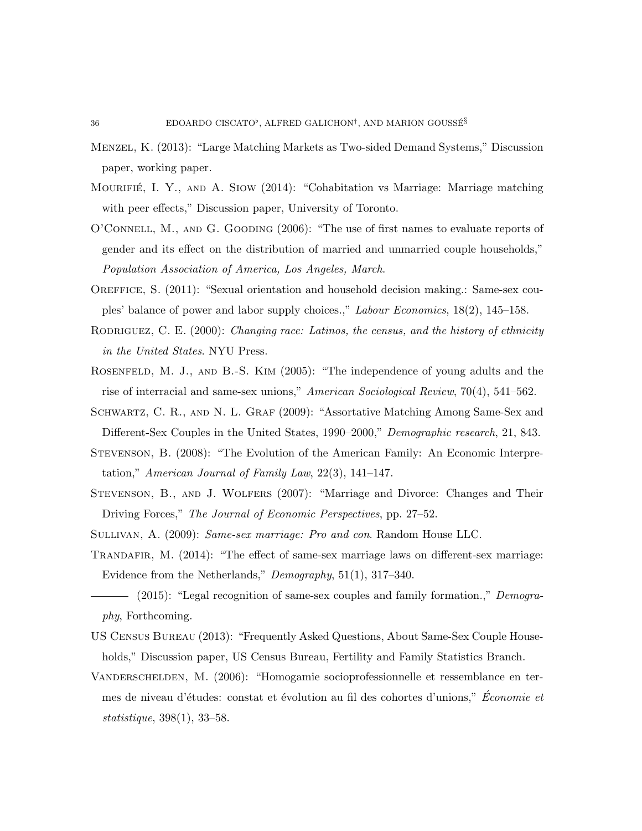- Menzel, K. (2013): "Large Matching Markets as Two-sided Demand Systems," Discussion paper, working paper.
- MOURIFIÉ, I. Y., AND A. SIOW (2014): "Cohabitation vs Marriage: Marriage matching with peer effects," Discussion paper, University of Toronto.
- O'Connell, M., and G. Gooding (2006): "The use of first names to evaluate reports of gender and its effect on the distribution of married and unmarried couple households," Population Association of America, Los Angeles, March.
- OREFFICE, S. (2011): "Sexual orientation and household decision making.: Same-sex couples' balance of power and labor supply choices.," Labour Economics, 18(2), 145–158.
- RODRIGUEZ, C. E. (2000): Changing race: Latinos, the census, and the history of ethnicity in the United States. NYU Press.
- ROSENFELD, M. J., AND B.-S. KIM (2005): "The independence of young adults and the rise of interracial and same-sex unions," American Sociological Review, 70(4), 541–562.
- Schwartz, C. R., and N. L. Graf (2009): "Assortative Matching Among Same-Sex and Different-Sex Couples in the United States, 1990–2000," Demographic research, 21, 843.
- Stevenson, B. (2008): "The Evolution of the American Family: An Economic Interpretation," American Journal of Family Law,  $22(3)$ , 141–147.
- Stevenson, B., and J. Wolfers (2007): "Marriage and Divorce: Changes and Their Driving Forces," The Journal of Economic Perspectives, pp. 27–52.
- Sullivan, A. (2009): Same-sex marriage: Pro and con. Random House LLC.
- TRANDAFIR, M. (2014): "The effect of same-sex marriage laws on different-sex marriage: Evidence from the Netherlands," Demography, 51(1), 317–340.
- (2015): "Legal recognition of same-sex couples and family formation.," Demography, Forthcoming.
- US Census Bureau (2013): "Frequently Asked Questions, About Same-Sex Couple Households," Discussion paper, US Census Bureau, Fertility and Family Statistics Branch.
- Vanderschelden, M. (2006): "Homogamie socioprofessionnelle et ressemblance en termes de niveau d'études: constat et évolution au fil des cohortes d'unions," Économie et statistique, 398(1), 33–58.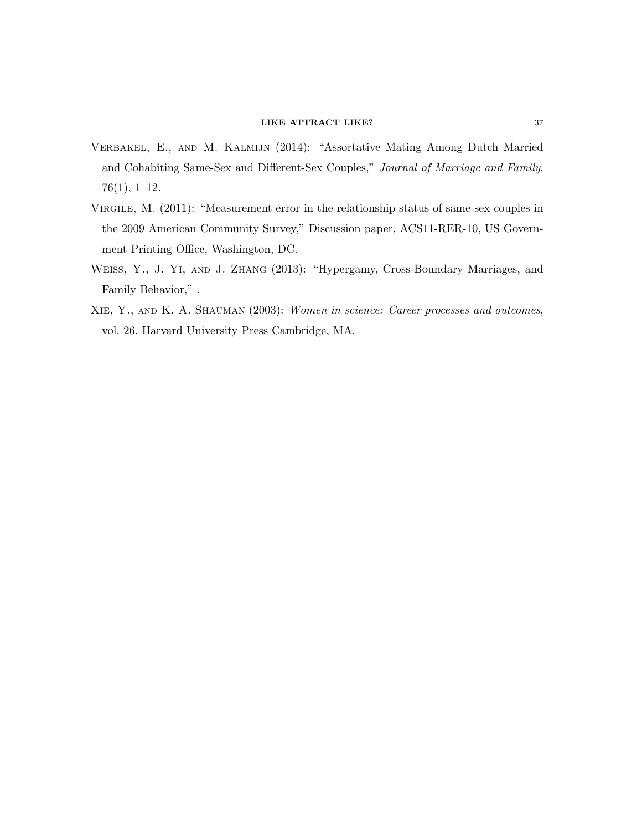- Verbakel, E., and M. Kalmijn (2014): "Assortative Mating Among Dutch Married and Cohabiting Same-Sex and Different-Sex Couples," Journal of Marriage and Family, 76(1), 1–12.
- Virgile, M. (2011): "Measurement error in the relationship status of same-sex couples in the 2009 American Community Survey," Discussion paper, ACS11-RER-10, US Government Printing Office, Washington, DC.
- Weiss, Y., J. Yi, and J. Zhang (2013): "Hypergamy, Cross-Boundary Marriages, and Family Behavior," .
- Xie, Y., and K. A. Shauman (2003): Women in science: Career processes and outcomes, vol. 26. Harvard University Press Cambridge, MA.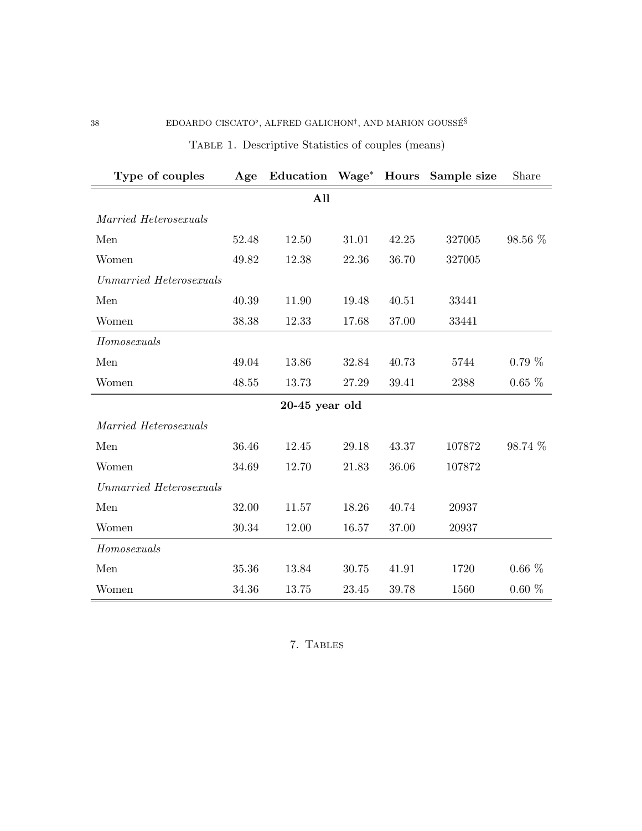| Type of couples         | Age   | Education Wage* Hours |           |       | Sample size | Share    |  |  |  |  |  |
|-------------------------|-------|-----------------------|-----------|-------|-------------|----------|--|--|--|--|--|
| All                     |       |                       |           |       |             |          |  |  |  |  |  |
| Married Heterosexuals   |       |                       |           |       |             |          |  |  |  |  |  |
| Men                     | 52.48 | 12.50                 | $31.01\,$ | 42.25 | 327005      | 98.56 %  |  |  |  |  |  |
| Women                   | 49.82 | 12.38                 | 22.36     | 36.70 | 327005      |          |  |  |  |  |  |
| Unmarried Heterosexuals |       |                       |           |       |             |          |  |  |  |  |  |
| Men                     | 40.39 | 11.90                 | 19.48     | 40.51 | 33441       |          |  |  |  |  |  |
| Women                   | 38.38 | 12.33                 | 17.68     | 37.00 | 33441       |          |  |  |  |  |  |
| Homosexuals             |       |                       |           |       |             |          |  |  |  |  |  |
| Men                     | 49.04 | 13.86                 | 32.84     | 40.73 | 5744        | $0.79\%$ |  |  |  |  |  |
| Women                   | 48.55 | 13.73                 | 27.29     | 39.41 | 2388        | $0.65\%$ |  |  |  |  |  |
|                         |       | $20-45$ year old      |           |       |             |          |  |  |  |  |  |
| Married Heterosexuals   |       |                       |           |       |             |          |  |  |  |  |  |
| Men                     | 36.46 | 12.45                 | 29.18     | 43.37 | 107872      | 98.74 %  |  |  |  |  |  |
| Women                   | 34.69 | 12.70                 | 21.83     | 36.06 | 107872      |          |  |  |  |  |  |
| Unmarried Heterosexuals |       |                       |           |       |             |          |  |  |  |  |  |
| Men                     | 32.00 | 11.57                 | 18.26     | 40.74 | 20937       |          |  |  |  |  |  |
| Women                   | 30.34 | 12.00                 | 16.57     | 37.00 | 20937       |          |  |  |  |  |  |
| Homosexuals             |       |                       |           |       |             |          |  |  |  |  |  |
| Men                     | 35.36 | 13.84                 | 30.75     | 41.91 | 1720        | $0.66\%$ |  |  |  |  |  |
| Women                   | 34.36 | 13.75                 | 23.45     | 39.78 | 1560        | $0.60\%$ |  |  |  |  |  |

Table 1. Descriptive Statistics of couples (means)

7. Tables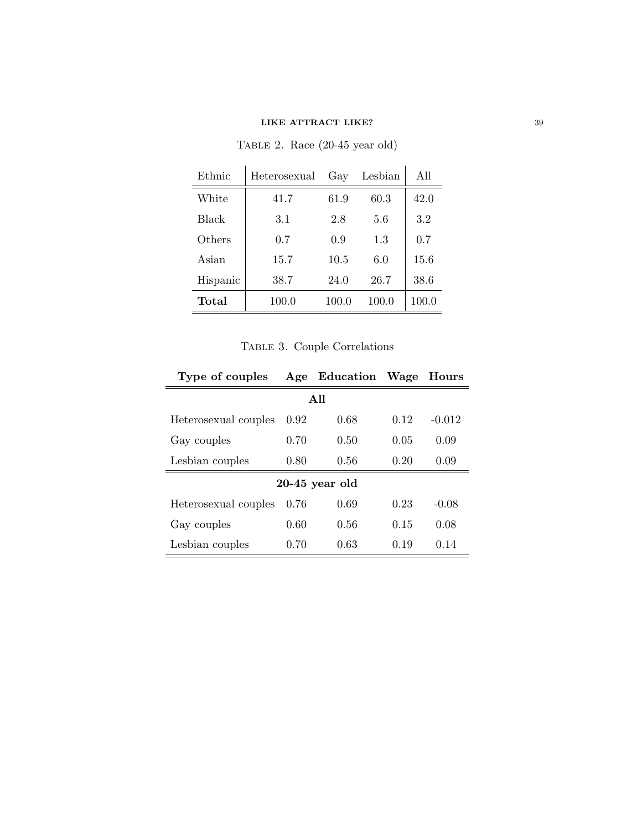| Ethnic   | Heterosexual | Gay   | Lesbian | All   |
|----------|--------------|-------|---------|-------|
| White    | 41.7         | 61.9  | 60.3    | 42.0  |
| Black    | 3.1          | 2.8   | 5.6     | 3.2   |
| Others   | 0.7          | 0.9   | 1.3     | 0.7   |
| Asian    | 15.7         | 10.5  | 6.0     | 15.6  |
| Hispanic | 38.7         | 24.0  | 26.7    | 38.6  |
| Total    | 100.0        | 100.0 | 100.0   | 100.0 |

Table 2. Race (20-45 year old)

| TABLE 3. Couple Correlations |  |
|------------------------------|--|
|                              |  |

| Type of couples      |      | Age Education Wage |      | Hours    |  |  |  |  |  |  |  |
|----------------------|------|--------------------|------|----------|--|--|--|--|--|--|--|
| A 11                 |      |                    |      |          |  |  |  |  |  |  |  |
| Heterosexual couples | 0.92 | 0.68               | 0.12 | $-0.012$ |  |  |  |  |  |  |  |
| Gay couples          | 0.70 | 0.50               | 0.05 | 0.09     |  |  |  |  |  |  |  |
| Lesbian couples      | 0.80 | 0.56               | 0.20 | 0.09     |  |  |  |  |  |  |  |
|                      |      | $20-45$ year old   |      |          |  |  |  |  |  |  |  |
| Heterosexual couples | 0.76 | 0.69               | 0.23 | $-0.08$  |  |  |  |  |  |  |  |
| Gay couples          | 0.60 | 0.56               | 0.15 | 0.08     |  |  |  |  |  |  |  |
| Lesbian couples      | 0.70 | 0.63               | 0.19 | 0.14     |  |  |  |  |  |  |  |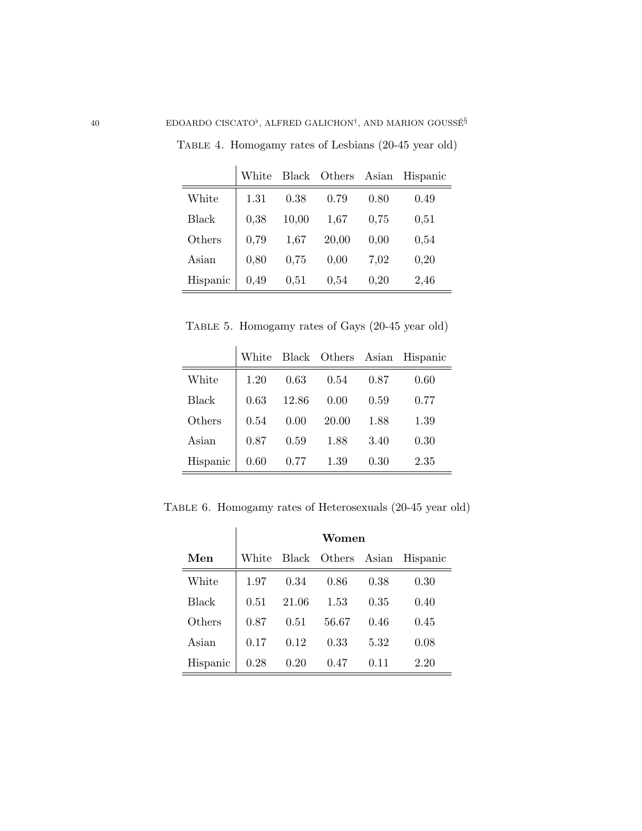|              | White | <b>Black</b> | Others | Asian | Hispanic |
|--------------|-------|--------------|--------|-------|----------|
| White        | 1.31  | 0.38         | 0.79   | 0.80  | 0.49     |
| <b>Black</b> | 0,38  | 10,00        | 1,67   | 0,75  | 0,51     |
| Others       | 0,79  | 1,67         | 20,00  | 0,00  | 0,54     |
| Asian        | 0,80  | 0,75         | 0,00   | 7,02  | 0,20     |
| Hispanic     | 0,49  | 0.51         | 0,54   | 0,20  | 2,46     |

Table 4. Homogamy rates of Lesbians (20-45 year old)

Table 5. Homogamy rates of Gays (20-45 year old)

|          | White |       |       |      | Black Others Asian Hispanic |
|----------|-------|-------|-------|------|-----------------------------|
| White    | 1.20  | 0.63  | 0.54  | 0.87 | 0.60                        |
| Black    | 0.63  | 12.86 | 0.00  | 0.59 | 0.77                        |
| Others   | 0.54  | 0.00  | 20.00 | 1.88 | 1.39                        |
| Asian    | 0.87  | 0.59  | 1.88  | 3.40 | 0.30                        |
| Hispanic | 0.60  | 0.77  | 1.39  | 0.30 | 2.35                        |

Table 6. Homogamy rates of Heterosexuals (20-45 year old)

|              | Women       |       |                    |      |          |  |  |  |  |
|--------------|-------------|-------|--------------------|------|----------|--|--|--|--|
| Men          | $\rm White$ |       | Black Others Asian |      | Hispanic |  |  |  |  |
| White        | 1.97        | 0.34  | 0.86               | 0.38 | 0.30     |  |  |  |  |
| <b>Black</b> | 0.51        | 21.06 | 1.53               | 0.35 | 0.40     |  |  |  |  |
| Others       | 0.87        | 0.51  | 56.67              | 0.46 | 0.45     |  |  |  |  |
| Asian        | 0.17        | 0.12  | 0.33               | 5.32 | 0.08     |  |  |  |  |
| Hispanic     | 0.28        | 0.20  | 0.47               | 0.11 | 2.20     |  |  |  |  |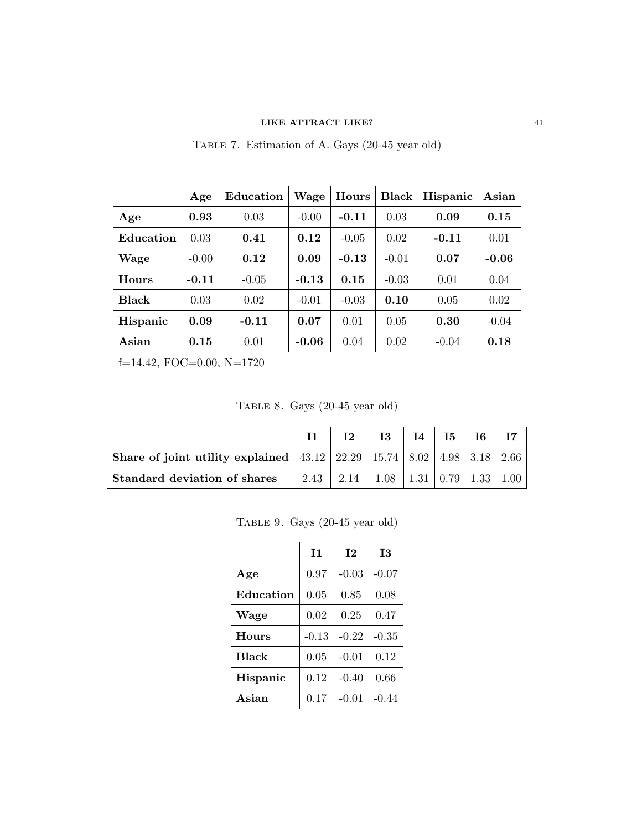Table 7. Estimation of A. Gays (20-45 year old)

|              | Age     | Education | Wage    | Hours   | <b>Black</b> | Hispanic | Asian   |
|--------------|---------|-----------|---------|---------|--------------|----------|---------|
| Age          | 0.93    | 0.03      | $-0.00$ | $-0.11$ | 0.03         | 0.09     | 0.15    |
| Education    | 0.03    | 0.41      | 0.12    | $-0.05$ | 0.02         | $-0.11$  | 0.01    |
| Wage         | $-0.00$ | 0.12      | 0.09    | $-0.13$ | $-0.01$      | 0.07     | $-0.06$ |
| <b>Hours</b> | $-0.11$ | $-0.05$   | $-0.13$ | 0.15    | $-0.03$      | 0.01     | 0.04    |
| <b>Black</b> | 0.03    | 0.02      | $-0.01$ | $-0.03$ | 0.10         | 0.05     | 0.02    |
| Hispanic     | 0.09    | $-0.11$   | 0.07    | 0.01    | 0.05         | 0.30     | $-0.04$ |
| Asian        | 0.15    | 0.01      | $-0.06$ | 0.04    | 0.02         | $-0.04$  | 0.18    |

f=14.42, FOC=0.00, N=1720

Table 8. Gays (20-45 year old)

| <b>Share of joint utility explained</b> $ 43.12 22.29 15.74 8.02 4.98 3.18 2.66$ |  |                                                  |  |  |
|----------------------------------------------------------------------------------|--|--------------------------------------------------|--|--|
| Standard deviation of shares                                                     |  | $2.43$   2.14   1.08   1.31   0.79   1.33   1.00 |  |  |

Table 9. Gays (20-45 year old)

|              | $\mathbf{I}$ | 12      | <b>I3</b> |
|--------------|--------------|---------|-----------|
| Age          | 0.97         | $-0.03$ | $-0.07$   |
| Education    | 0.05         | 0.85    | 0.08      |
| Wage         | 0.02         | 0.25    | 0.47      |
| <b>Hours</b> | $-0.13$      | $-0.22$ | $-0.35$   |
| <b>Black</b> | 0.05         | $-0.01$ | 0.12      |
| Hispanic     | 0.12         | $-0.40$ | 0.66      |
| Asian        | 0.17         | $-0.01$ | $-0.44$   |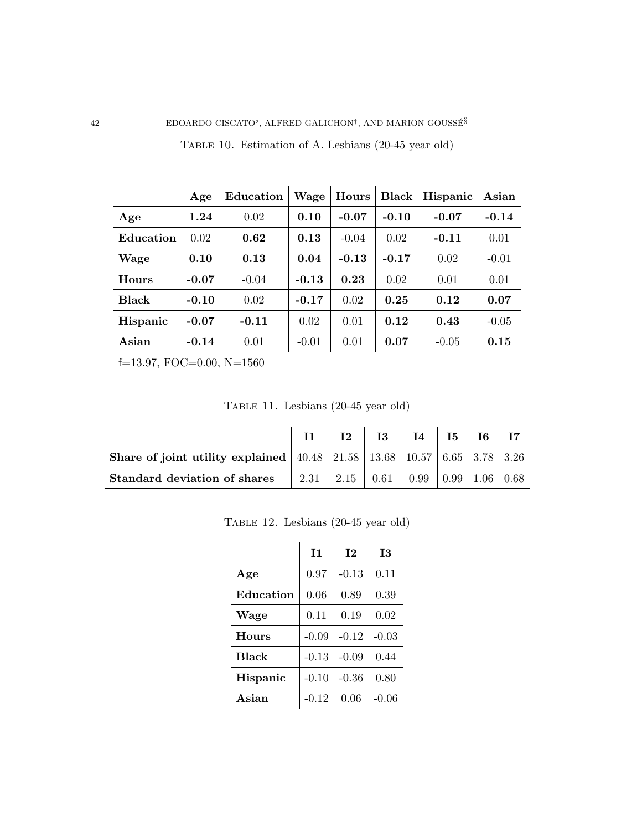|              | Age     | Education | Wage    | Hours   | <b>Black</b> | Hispanic | Asian   |
|--------------|---------|-----------|---------|---------|--------------|----------|---------|
| Age          | 1.24    | 0.02      | 0.10    | $-0.07$ | $-0.10$      | $-0.07$  | $-0.14$ |
| Education    | 0.02    | 0.62      | 0.13    | $-0.04$ | 0.02         | $-0.11$  | 0.01    |
| Wage         | 0.10    | 0.13      | 0.04    | $-0.13$ | $-0.17$      | 0.02     | $-0.01$ |
| <b>Hours</b> | $-0.07$ | $-0.04$   | $-0.13$ | 0.23    | 0.02         | 0.01     | 0.01    |
| <b>Black</b> | $-0.10$ | 0.02      | $-0.17$ | 0.02    | 0.25         | 0.12     | 0.07    |
| Hispanic     | $-0.07$ | $-0.11$   | 0.02    | 0.01    | 0.12         | 0.43     | $-0.05$ |
| Asian        | $-0.14$ | 0.01      | $-0.01$ | 0.01    | 0.07         | $-0.05$  | 0.15    |

Table 10. Estimation of A. Lesbians (20-45 year old)

f=13.97, FOC=0.00, N=1560

Table 11. Lesbians (20-45 year old)

| <b>Share of joint utility explained</b>   40.48   21.58   13.68   10.57   6.65   3.78   3.26 |                                                |  |  |  |
|----------------------------------------------------------------------------------------------|------------------------------------------------|--|--|--|
| Standard deviation of shares                                                                 | 2.31   2.15   0.61   0.99   0.99   1.06   0.68 |  |  |  |

Table 12. Lesbians (20-45 year old)

|              | 11      | 12      | <b>I3</b> |
|--------------|---------|---------|-----------|
| Age          | 0.97    | $-0.13$ | 0.11      |
| Education    | 0.06    | 0.89    | 0.39      |
| Wage         | 0.11    | 0.19    | 0.02      |
| <b>Hours</b> | $-0.09$ | $-0.12$ | $-0.03$   |
| <b>Black</b> | $-0.13$ | $-0.09$ | 0.44      |
| Hispanic     | $-0.10$ | $-0.36$ | 0.80      |
| Asian        | $-0.12$ | 0.06    | $-0.06$   |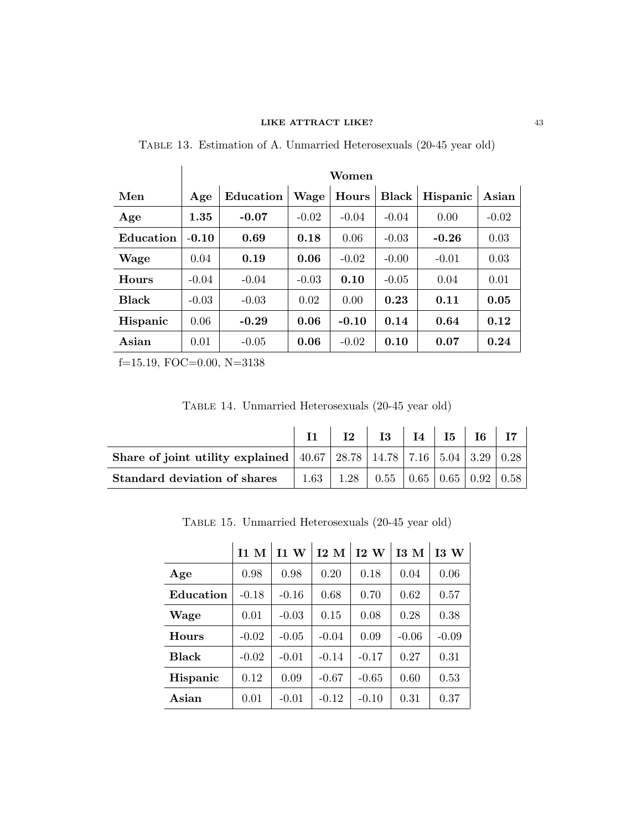|              | Women   |           |         |         |              |          |         |  |  |
|--------------|---------|-----------|---------|---------|--------------|----------|---------|--|--|
| Men          | Age     | Education | Wage    | Hours   | <b>Black</b> | Hispanic | Asian   |  |  |
| Age          | 1.35    | $-0.07$   | $-0.02$ | $-0.04$ | $-0.04$      | 0.00     | $-0.02$ |  |  |
| Education    | $-0.10$ | 0.69      | 0.18    | 0.06    | $-0.03$      | $-0.26$  | 0.03    |  |  |
| Wage         | 0.04    | 0.19      | 0.06    | $-0.02$ | $-0.00$      | $-0.01$  | 0.03    |  |  |
| <b>Hours</b> | $-0.04$ | $-0.04$   | $-0.03$ | 0.10    | $-0.05$      | 0.04     | 0.01    |  |  |
| <b>Black</b> | $-0.03$ | $-0.03$   | 0.02    | 0.00    | 0.23         | 0.11     | 0.05    |  |  |
| Hispanic     | 0.06    | $-0.29$   | 0.06    | $-0.10$ | 0.14         | 0.64     | 0.12    |  |  |
| Asian        | 0.01    | $-0.05$   | 0.06    | $-0.02$ | 0.10         | 0.07     | 0.24    |  |  |

Table 13. Estimation of A. Unmarried Heterosexuals (20-45 year old)

f=15.19, FOC=0.00, N=3138

Table 14. Unmarried Heterosexuals (20-45 year old)

|                                                                                      | $\mathbf{I2}$                                                |  |  |  |
|--------------------------------------------------------------------------------------|--------------------------------------------------------------|--|--|--|
| Share of joint utility explained   40.67   28.78   14.78   7.16   5.04   3.29   0.28 |                                                              |  |  |  |
| <b>Standard deviation of shares</b>                                                  | $1.63$   $1.28$   $0.55$   $0.65$   $0.65$   $0.92$   $0.58$ |  |  |  |

Table 15. Unmarried Heterosexuals (20-45 year old)

|              | 11 <sub>M</sub> | 11W     | $12\,$ M | 12W     | I3M     | 13W     |
|--------------|-----------------|---------|----------|---------|---------|---------|
| Age          | 0.98            | 0.98    | 0.20     | 0.18    | 0.04    | 0.06    |
| Education    | $-0.18$         | $-0.16$ | 0.68     | 0.70    | 0.62    | 0.57    |
| Wage         | 0.01            | $-0.03$ | 0.15     | 0.08    | 0.28    | 0.38    |
| <b>Hours</b> | $-0.02$         | $-0.05$ | $-0.04$  | 0.09    | $-0.06$ | $-0.09$ |
| <b>Black</b> | $-0.02$         | $-0.01$ | $-0.14$  | $-0.17$ | 0.27    | 0.31    |
| Hispanic     | 0.12            | 0.09    | $-0.67$  | $-0.65$ | 0.60    | 0.53    |
| Asian        | 0.01            | $-0.01$ | $-0.12$  | $-0.10$ | 0.31    | 0.37    |